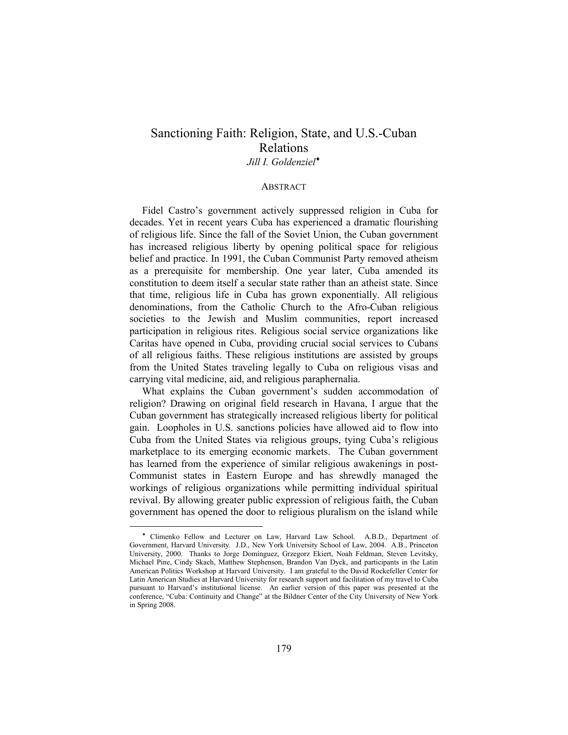# Sanctioning Faith: Religion, State, and U.S.-Cuban Relations Jill I. Goldenziel<sup>\*</sup>

#### **ABSTRACT**

Fidel Castro's government actively suppressed religion in Cuba for decades. Yet in recent years Cuba has experienced a dramatic flourishing of religious life. Since the fall of the Soviet Union, the Cuban government has increased religious liberty by opening political space for religious belief and practice. In 1991, the Cuban Communist Party removed atheism as a prerequisite for membership. One year later, Cuba amended its constitution to deem itself a secular state rather than an atheist state. Since that time, religious life in Cuba has grown exponentially. All religious denominations, from the Catholic Church to the Afro-Cuban religious societies to the Jewish and Muslim communities, report increased participation in religious rites. Religious social service organizations like Caritas have opened in Cuba, providing crucial social services to Cubans of all religious faiths. These religious institutions are assisted by groups from the United States traveling legally to Cuba on religious visas and carrying vital medicine, aid, and religious paraphernalia.

What explains the Cuban government's sudden accommodation of religion? Drawing on original field research in Havana, I argue that the Cuban government has strategically increased religious liberty for political gain. Loopholes in U.S. sanctions policies have allowed aid to flow into Cuba from the United States via religious groups, tying Cuba's religious marketplace to its emerging economic markets. The Cuban government has learned from the experience of similar religious awakenings in post-Communist states in Eastern Europe and has shrewdly managed the workings of religious organizations while permitting individual spiritual revival. By allowing greater public expression of religious faith, the Cuban government has opened the door to religious pluralism on the island while

<sup>♦</sup> Climenko Fellow and Lecturer on Law, Harvard Law School. A.B.D., Department of Government, Harvard University. J.D., New York University School of Law, 2004. A.B., Princeton University, 2000. Thanks to Jorge Domínguez, Grzegorz Ekiert, Noah Feldman, Steven Levitsky, Michael Pine, Cindy Skach, Matthew Stephenson, Brandon Van Dyck, and participants in the Latin American Politics Workshop at Harvard University. I am grateful to the David Rockefeller Center for Latin American Studies at Harvard University for research support and facilitation of my travel to Cuba pursuant to Harvard's institutional license. An earlier version of this paper was presented at the conference, "Cuba: Continuity and Change" at the Bildner Center of the City University of New York in Spring 2008.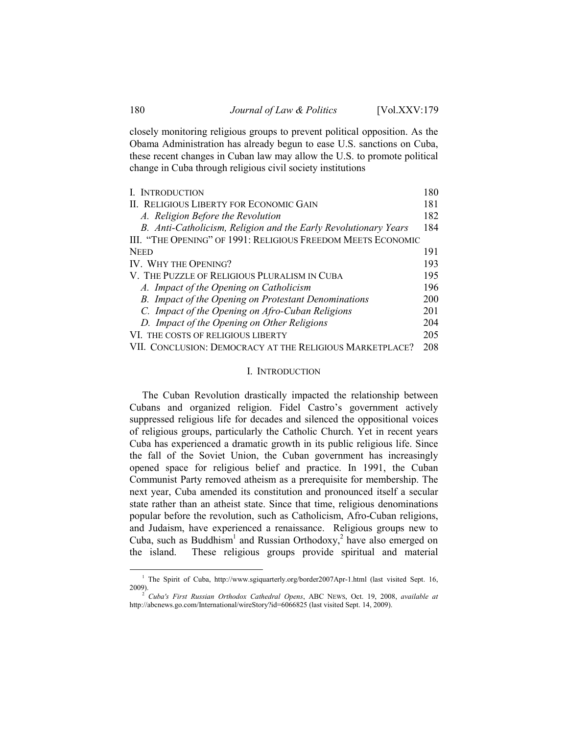closely monitoring religious groups to prevent political opposition. As the Obama Administration has already begun to ease U.S. sanctions on Cuba, these recent changes in Cuban law may allow the U.S. to promote political change in Cuba through religious civil society institutions

| I. INTRODUCTION                                                 | 180 |
|-----------------------------------------------------------------|-----|
| II. RELIGIOUS LIBERTY FOR ECONOMIC GAIN                         | 181 |
| A. Religion Before the Revolution                               | 182 |
| B. Anti-Catholicism, Religion and the Early Revolutionary Years | 184 |
| III. "THE OPENING" OF 1991: RELIGIOUS FREEDOM MEETS ECONOMIC    |     |
| <b>NEED</b>                                                     | 191 |
| IV. WHY THE OPENING?                                            | 193 |
| V. THE PUZZLE OF RELIGIOUS PLURALISM IN CUBA                    | 195 |
| A. Impact of the Opening on Catholicism                         | 196 |
| B. Impact of the Opening on Protestant Denominations            | 200 |
| C. Impact of the Opening on Afro-Cuban Religions                | 201 |
| D. Impact of the Opening on Other Religions                     | 204 |
| VI. THE COSTS OF RELIGIOUS LIBERTY                              | 205 |
| VII. CONCLUSION: DEMOCRACY AT THE RELIGIOUS MARKETPLACE?        | 208 |

#### I. INTRODUCTION

The Cuban Revolution drastically impacted the relationship between Cubans and organized religion. Fidel Castro's government actively suppressed religious life for decades and silenced the oppositional voices of religious groups, particularly the Catholic Church. Yet in recent years Cuba has experienced a dramatic growth in its public religious life. Since the fall of the Soviet Union, the Cuban government has increasingly opened space for religious belief and practice. In 1991, the Cuban Communist Party removed atheism as a prerequisite for membership. The next year, Cuba amended its constitution and pronounced itself a secular state rather than an atheist state. Since that time, religious denominations popular before the revolution, such as Catholicism, Afro-Cuban religions, and Judaism, have experienced a renaissance. Religious groups new to Cuba, such as Buddhism<sup>1</sup> and Russian Orthodoxy,<sup>2</sup> have also emerged on the island. These religious groups provide spiritual and material

<sup>&</sup>lt;sup>1</sup> The Spirit of Cuba, http://www.sgiquarterly.org/border2007Apr-1.html (last visited Sept. 16, 2009).

 $2^{2}$  Cuba's First Russian Orthodox Cathedral Opens, ABC NEWS, Oct. 19, 2008, available at http://abcnews.go.com/International/wireStory?id=6066825 (last visited Sept. 14, 2009).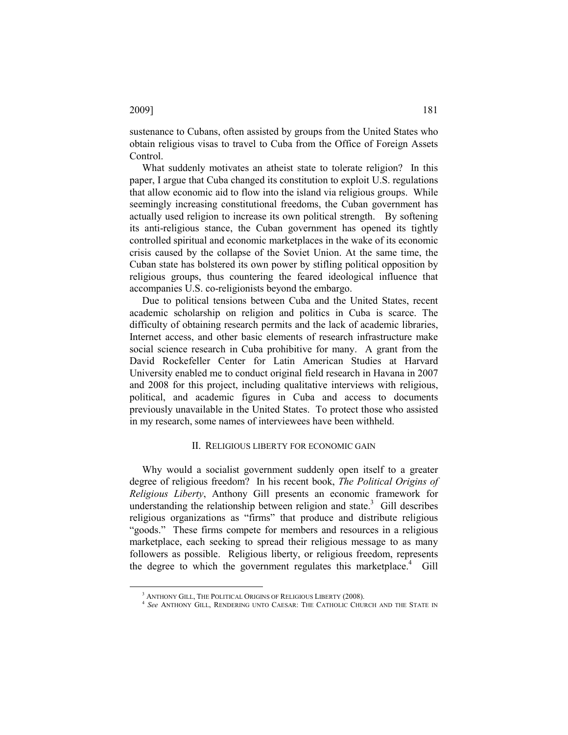$\overline{a}$ 

sustenance to Cubans, often assisted by groups from the United States who obtain religious visas to travel to Cuba from the Office of Foreign Assets Control.

What suddenly motivates an atheist state to tolerate religion? In this paper, I argue that Cuba changed its constitution to exploit U.S. regulations that allow economic aid to flow into the island via religious groups. While seemingly increasing constitutional freedoms, the Cuban government has actually used religion to increase its own political strength. By softening its anti-religious stance, the Cuban government has opened its tightly controlled spiritual and economic marketplaces in the wake of its economic crisis caused by the collapse of the Soviet Union. At the same time, the Cuban state has bolstered its own power by stifling political opposition by religious groups, thus countering the feared ideological influence that accompanies U.S. co-religionists beyond the embargo.

Due to political tensions between Cuba and the United States, recent academic scholarship on religion and politics in Cuba is scarce. The difficulty of obtaining research permits and the lack of academic libraries, Internet access, and other basic elements of research infrastructure make social science research in Cuba prohibitive for many. A grant from the David Rockefeller Center for Latin American Studies at Harvard University enabled me to conduct original field research in Havana in 2007 and 2008 for this project, including qualitative interviews with religious, political, and academic figures in Cuba and access to documents previously unavailable in the United States. To protect those who assisted in my research, some names of interviewees have been withheld.

# II. RELIGIOUS LIBERTY FOR ECONOMIC GAIN

Why would a socialist government suddenly open itself to a greater degree of religious freedom? In his recent book, The Political Origins of Religious Liberty, Anthony Gill presents an economic framework for understanding the relationship between religion and state.<sup>3</sup> Gill describes religious organizations as "firms" that produce and distribute religious "goods." These firms compete for members and resources in a religious marketplace, each seeking to spread their religious message to as many followers as possible. Religious liberty, or religious freedom, represents the degree to which the government regulates this marketplace.<sup>4</sup> Gill

<sup>&</sup>lt;sup>3</sup> ANTHONY GILL, THE POLITICAL ORIGINS OF RELIGIOUS LIBERTY (2008).

<sup>&</sup>lt;sup>4</sup> See ANTHONY GILL, RENDERING UNTO CAESAR: THE CATHOLIC CHURCH AND THE STATE IN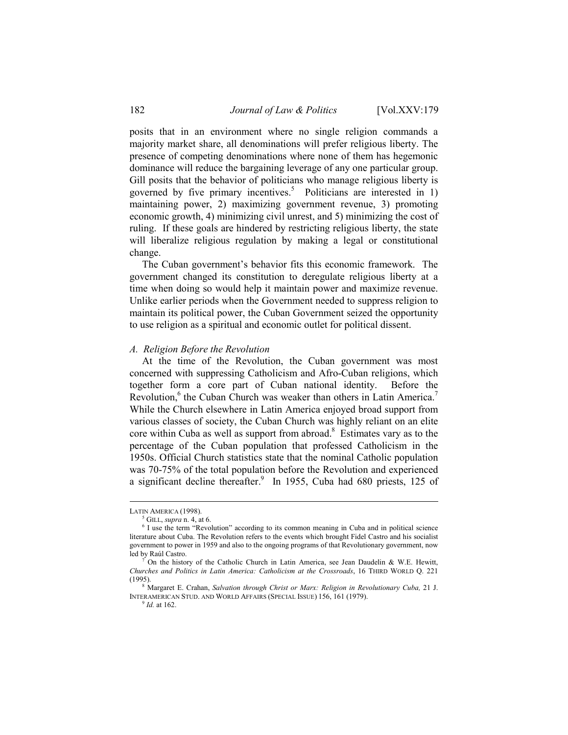posits that in an environment where no single religion commands a majority market share, all denominations will prefer religious liberty. The presence of competing denominations where none of them has hegemonic dominance will reduce the bargaining leverage of any one particular group. Gill posits that the behavior of politicians who manage religious liberty is governed by five primary incentives.<sup>5</sup> Politicians are interested in 1) maintaining power, 2) maximizing government revenue, 3) promoting economic growth, 4) minimizing civil unrest, and 5) minimizing the cost of ruling. If these goals are hindered by restricting religious liberty, the state will liberalize religious regulation by making a legal or constitutional change.

The Cuban government's behavior fits this economic framework. The government changed its constitution to deregulate religious liberty at a time when doing so would help it maintain power and maximize revenue. Unlike earlier periods when the Government needed to suppress religion to maintain its political power, the Cuban Government seized the opportunity to use religion as a spiritual and economic outlet for political dissent.

## A. Religion Before the Revolution

At the time of the Revolution, the Cuban government was most concerned with suppressing Catholicism and Afro-Cuban religions, which together form a core part of Cuban national identity. Before the Revolution,<sup>6</sup> the Cuban Church was weaker than others in Latin America.<sup>7</sup> While the Church elsewhere in Latin America enjoyed broad support from various classes of society, the Cuban Church was highly reliant on an elite core within Cuba as well as support from abroad.<sup>8</sup> Estimates vary as to the percentage of the Cuban population that professed Catholicism in the 1950s. Official Church statistics state that the nominal Catholic population was 70-75% of the total population before the Revolution and experienced a significant decline thereafter. $9$  In 1955, Cuba had 680 priests, 125 of

 $\overline{a}$ 

 $^{9}$  *Id.* at 162.

LATIN AMERICA (1998).

 $<sup>5</sup>$  GILL, *supra* n. 4, at 6.</sup>

<sup>&</sup>lt;sup>6</sup> I use the term "Revolution" according to its common meaning in Cuba and in political science literature about Cuba. The Revolution refers to the events which brought Fidel Castro and his socialist government to power in 1959 and also to the ongoing programs of that Revolutionary government, now led by Raúl Castro.

<sup>7</sup> On the history of the Catholic Church in Latin America, see Jean Daudelin & W.E. Hewitt, Churches and Politics in Latin America: Catholicism at the Crossroads, 16 THIRD WORLD Q. 221 (1995).

<sup>&</sup>lt;sup>8</sup> Margaret E. Crahan, Salvation through Christ or Marx: Religion in Revolutionary Cuba, 21 J. INTERAMERICAN STUD. AND WORLD AFFAIRS (SPECIAL ISSUE) 156, 161 (1979).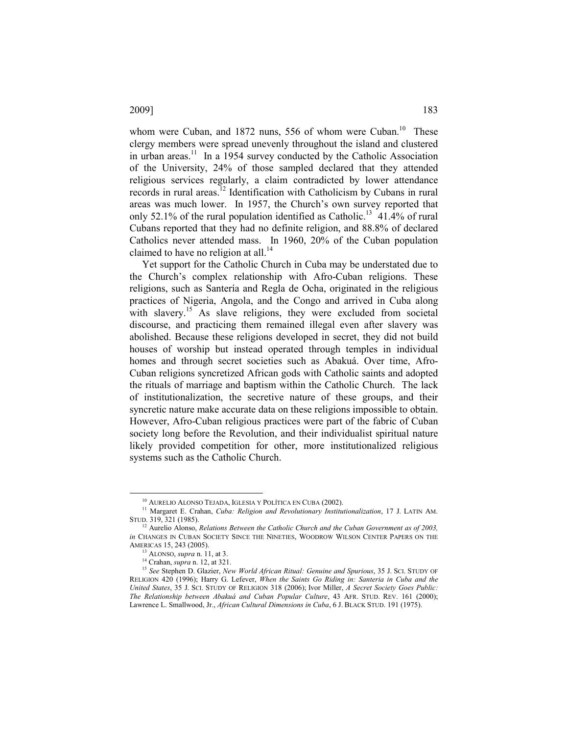whom were Cuban, and 1872 nuns, 556 of whom were Cuban.<sup>10</sup> These clergy members were spread unevenly throughout the island and clustered in urban areas.<sup>11</sup> In a 1954 survey conducted by the Catholic Association of the University, 24% of those sampled declared that they attended religious services regularly, a claim contradicted by lower attendance records in rural areas.<sup>12</sup> Identification with Catholicism by Cubans in rural areas was much lower. In 1957, the Church's own survey reported that only 52.1% of the rural population identified as Catholic.<sup>13</sup> 41.4% of rural Cubans reported that they had no definite religion, and 88.8% of declared Catholics never attended mass. In 1960, 20% of the Cuban population claimed to have no religion at all.<sup>14</sup>

Yet support for the Catholic Church in Cuba may be understated due to the Church's complex relationship with Afro-Cuban religions. These religions, such as Santería and Regla de Ocha, originated in the religious practices of Nigeria, Angola, and the Congo and arrived in Cuba along with slavery.<sup>15</sup> As slave religions, they were excluded from societal discourse, and practicing them remained illegal even after slavery was abolished. Because these religions developed in secret, they did not build houses of worship but instead operated through temples in individual homes and through secret societies such as Abakuá. Over time, Afro-Cuban religions syncretized African gods with Catholic saints and adopted the rituals of marriage and baptism within the Catholic Church. The lack of institutionalization, the secretive nature of these groups, and their syncretic nature make accurate data on these religions impossible to obtain. However, Afro-Cuban religious practices were part of the fabric of Cuban society long before the Revolution, and their individualist spiritual nature likely provided competition for other, more institutionalized religious systems such as the Catholic Church.

<sup>10</sup> AURELIO ALONSO TEJADA, IGLESIA Y POLÍTICA EN CUBA (2002).

<sup>&</sup>lt;sup>11</sup> Margaret E. Crahan, *Cuba: Religion and Revolutionary Institutionalization*, 17 J. LATIN AM. STUD. 319, 321 (1985).

 $12$  Aurelio Alonso, Relations Between the Catholic Church and the Cuban Government as of 2003, in CHANGES IN CUBAN SOCIETY SINCE THE NINETIES, WOODROW WILSON CENTER PAPERS ON THE AMERICAS 15, 243 (2005).

 $13$  ALONSO, *supra* n. 11, at 3.

<sup>14</sup> Crahan, supra n. 12, at 321.

<sup>&</sup>lt;sup>15</sup> See Stephen D. Glazier, New World African Ritual: Genuine and Spurious, 35 J. SCI. STUDY OF RELIGION 420 (1996); Harry G. Lefever, When the Saints Go Riding in: Santeria in Cuba and the United States, 35 J. SCI. STUDY OF RELIGION 318 (2006); Ivor Miller, A Secret Society Goes Public: The Relationship between Abakuá and Cuban Popular Culture, 43 AFR. STUD. REV. 161 (2000); Lawrence L. Smallwood, Jr., African Cultural Dimensions in Cuba, 6 J. BLACK STUD. 191 (1975).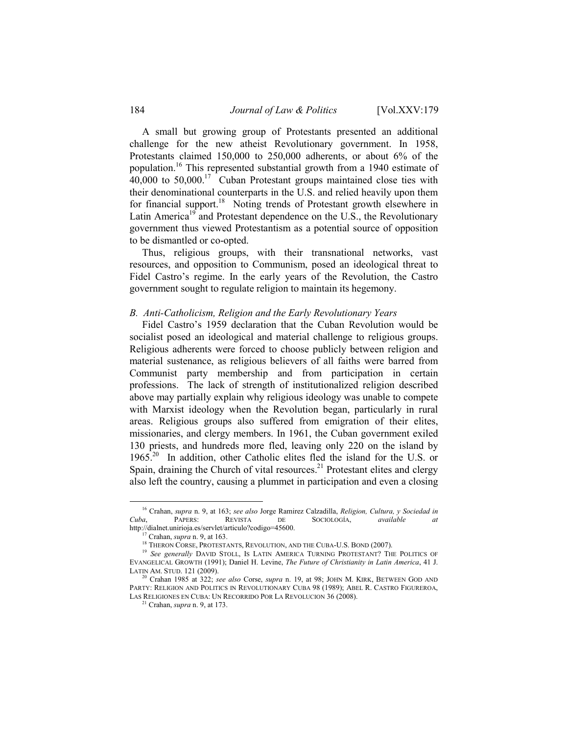A small but growing group of Protestants presented an additional challenge for the new atheist Revolutionary government. In 1958, Protestants claimed 150,000 to 250,000 adherents, or about 6% of the population.<sup>16</sup> This represented substantial growth from a 1940 estimate of 40,000 to 50,000.<sup>17</sup> Cuban Protestant groups maintained close ties with their denominational counterparts in the U.S. and relied heavily upon them for financial support.<sup>18</sup> Noting trends of Protestant growth elsewhere in Latin America<sup>19</sup> and Protestant dependence on the U.S., the Revolutionary government thus viewed Protestantism as a potential source of opposition to be dismantled or co-opted.

Thus, religious groups, with their transnational networks, vast resources, and opposition to Communism, posed an ideological threat to Fidel Castro's regime. In the early years of the Revolution, the Castro government sought to regulate religion to maintain its hegemony.

#### B. Anti-Catholicism, Religion and the Early Revolutionary Years

Fidel Castro's 1959 declaration that the Cuban Revolution would be socialist posed an ideological and material challenge to religious groups. Religious adherents were forced to choose publicly between religion and material sustenance, as religious believers of all faiths were barred from Communist party membership and from participation in certain professions. The lack of strength of institutionalized religion described above may partially explain why religious ideology was unable to compete with Marxist ideology when the Revolution began, particularly in rural areas. Religious groups also suffered from emigration of their elites, missionaries, and clergy members. In 1961, the Cuban government exiled 130 priests, and hundreds more fled, leaving only 220 on the island by 1965.<sup>20</sup> In addition, other Catholic elites fled the island for the U.S. or Spain, draining the Church of vital resources.<sup>21</sup> Protestant elites and clergy also left the country, causing a plummet in participation and even a closing

<sup>&</sup>lt;sup>16</sup> Crahan, *supra* n. 9, at 163; *see also* Jorge Ramirez Calzadilla, *Religion, Cultura, y Sociedad in Cuba*, PAPERS: REVISTA DE SOCIOLOGÍA, *available at* SOCIOLOGÍA, available at http://dialnet.unirioja.es/servlet/articulo?codigo=45600.

 $17$  Crahan, supra n. 9, at 163.

<sup>&</sup>lt;sup>18</sup> THERON CORSE, PROTESTANTS, REVOLUTION, AND THE CUBA-U.S. BOND (2007).

<sup>&</sup>lt;sup>19</sup> See generally DAVID STOLL, IS LATIN AMERICA TURNING PROTESTANT? THE POLITICS OF EVANGELICAL GROWTH (1991); Daniel H. Levine, The Future of Christianity in Latin America, 41 J. LATIN AM. STUD. 121 (2009).

<sup>&</sup>lt;sup>20</sup> Crahan 1985 at 322; see also Corse, supra n. 19, at 98; JOHN M. KIRK, BETWEEN GOD AND PARTY: RELIGION AND POLITICS IN REVOLUTIONARY CUBA 98 (1989); ABEL R. CASTRO FIGUREROA, LAS RELIGIONES EN CUBA: UN RECORRIDO POR LA REVOLUCION 36 (2008).

 $21$  Crahan, *supra* n. 9, at 173.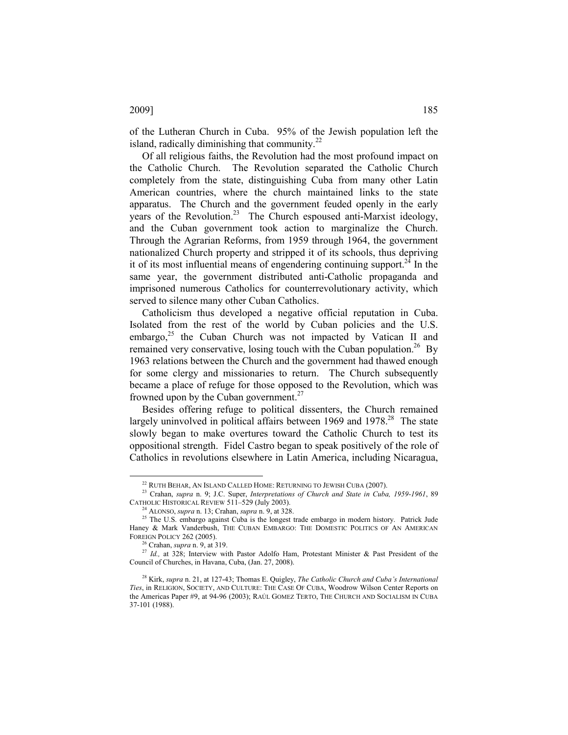of the Lutheran Church in Cuba. 95% of the Jewish population left the island, radically diminishing that community. $^{22}$ 

Of all religious faiths, the Revolution had the most profound impact on the Catholic Church. The Revolution separated the Catholic Church completely from the state, distinguishing Cuba from many other Latin American countries, where the church maintained links to the state apparatus. The Church and the government feuded openly in the early years of the Revolution.<sup>23</sup> The Church espoused anti-Marxist ideology, and the Cuban government took action to marginalize the Church. Through the Agrarian Reforms, from 1959 through 1964, the government nationalized Church property and stripped it of its schools, thus depriving it of its most influential means of engendering continuing support.<sup>24</sup> In the same year, the government distributed anti-Catholic propaganda and imprisoned numerous Catholics for counterrevolutionary activity, which served to silence many other Cuban Catholics.

Catholicism thus developed a negative official reputation in Cuba. Isolated from the rest of the world by Cuban policies and the U.S. embargo, $25$  the Cuban Church was not impacted by Vatican II and remained very conservative, losing touch with the Cuban population.<sup>26</sup> By 1963 relations between the Church and the government had thawed enough for some clergy and missionaries to return. The Church subsequently became a place of refuge for those opposed to the Revolution, which was frowned upon by the Cuban government.<sup>27</sup>

Besides offering refuge to political dissenters, the Church remained largely uninvolved in political affairs between  $1969$  and  $1978<sup>28</sup>$ . The state slowly began to make overtures toward the Catholic Church to test its oppositional strength. Fidel Castro began to speak positively of the role of Catholics in revolutions elsewhere in Latin America, including Nicaragua,

 $\overline{a}$ 

## 2009] 185

<sup>22</sup> RUTH BEHAR, AN ISLAND CALLED HOME: RETURNING TO JEWISH CUBA (2007).

<sup>&</sup>lt;sup>23</sup> Crahan, supra n. 9; J.C. Super, Interpretations of Church and State in Cuba, 1959-1961, 89 CATHOLIC HISTORICAL REVIEW 511–529 (July 2003).

 $4$  ALONSO, supra n. 13; Crahan, supra n. 9, at 328.

<sup>&</sup>lt;sup>25</sup> The U.S. embargo against Cuba is the longest trade embargo in modern history. Patrick Jude Haney & Mark Vanderbush, THE CUBAN EMBARGO: THE DOMESTIC POLITICS OF AN AMERICAN FOREIGN POLICY 262 (2005).

Crahan, supra n. 9, at 319.

<sup>&</sup>lt;sup>27</sup> Id., at 328; Interview with Pastor Adolfo Ham, Protestant Minister & Past President of the Council of Churches, in Havana, Cuba, (Jan. 27, 2008).

 $28$  Kirk, supra n. 21, at 127-43; Thomas E. Quigley, The Catholic Church and Cuba's International Ties, in RELIGION, SOCIETY, AND CULTURE: THE CASE OF CUBA, Woodrow Wilson Center Reports on the Americas Paper #9, at 94-96 (2003); RAÚL GOMEZ TERTO, THE CHURCH AND SOCIALISM IN CUBA 37-101 (1988).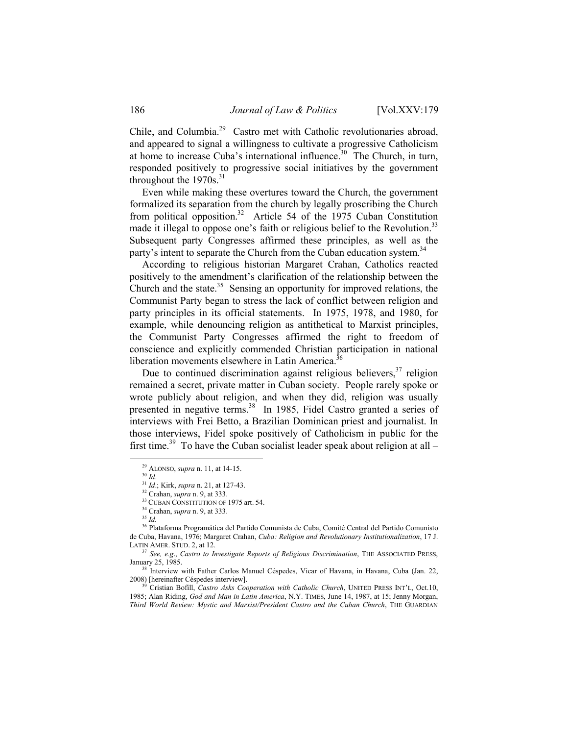Chile, and Columbia.<sup>29</sup> Castro met with Catholic revolutionaries abroad, and appeared to signal a willingness to cultivate a progressive Catholicism at home to increase Cuba's international influence. $30$  The Church, in turn, responded positively to progressive social initiatives by the government throughout the  $1970s$ <sup>31</sup>

Even while making these overtures toward the Church, the government formalized its separation from the church by legally proscribing the Church from political opposition.<sup>32</sup> Article 54 of the 1975 Cuban Constitution made it illegal to oppose one's faith or religious belief to the Revolution.<sup>33</sup> Subsequent party Congresses affirmed these principles, as well as the party's intent to separate the Church from the Cuban education system.<sup>34</sup>

According to religious historian Margaret Crahan, Catholics reacted positively to the amendment's clarification of the relationship between the Church and the state. $35$  Sensing an opportunity for improved relations, the Communist Party began to stress the lack of conflict between religion and party principles in its official statements. In 1975, 1978, and 1980, for example, while denouncing religion as antithetical to Marxist principles, the Communist Party Congresses affirmed the right to freedom of conscience and explicitly commended Christian participation in national liberation movements elsewhere in Latin America.<sup>36</sup>

Due to continued discrimination against religious believers,  $37$  religion remained a secret, private matter in Cuban society. People rarely spoke or wrote publicly about religion, and when they did, religion was usually presented in negative terms.<sup>38</sup> In 1985, Fidel Castro granted a series of interviews with Frei Betto, a Brazilian Dominican priest and journalist. In those interviews, Fidel spoke positively of Catholicism in public for the first time.<sup>39</sup> To have the Cuban socialist leader speak about religion at all –

<sup>&</sup>lt;sup>29</sup> ALONSO, *supra* n. 11, at 14-15.

 $30$  Id.

 $31$  Id.; Kirk, *supra* n. 21, at 127-43.

<sup>&</sup>lt;sup>32</sup> Crahan, *supra* n. 9, at 333.

<sup>&</sup>lt;sup>33</sup> CUBAN CONSTITUTION OF 1975 art. 54.

<sup>34</sup> Crahan, supra n. 9, at 333.

 $^{35}$   $\emph{Id.}$ 

<sup>36</sup> Plataforma Programática del Partido Comunista de Cuba, Comité Central del Partido Comunisto de Cuba, Havana, 1976; Margaret Crahan, Cuba: Religion and Revolutionary Institutionalization, 17 J. LATIN AMER. STUD. 2, at 12.

 $37$  See, e.g., Castro to Investigate Reports of Religious Discrimination, THE ASSOCIATED PRESS, January 25, 1985.

<sup>&</sup>lt;sup>38</sup> Interview with Father Carlos Manuel Céspedes, Vicar of Havana, in Havana, Cuba (Jan. 22, 2008) [hereinafter Céspedes interview].

Cristian Bofill, Castro Asks Cooperation with Catholic Church, UNITED PRESS INT'L, Oct.10, 1985; Alan Riding, God and Man in Latin America, N.Y. TIMES, June 14, 1987, at 15; Jenny Morgan, Third World Review: Mystic and Marxist/President Castro and the Cuban Church, THE GUARDIAN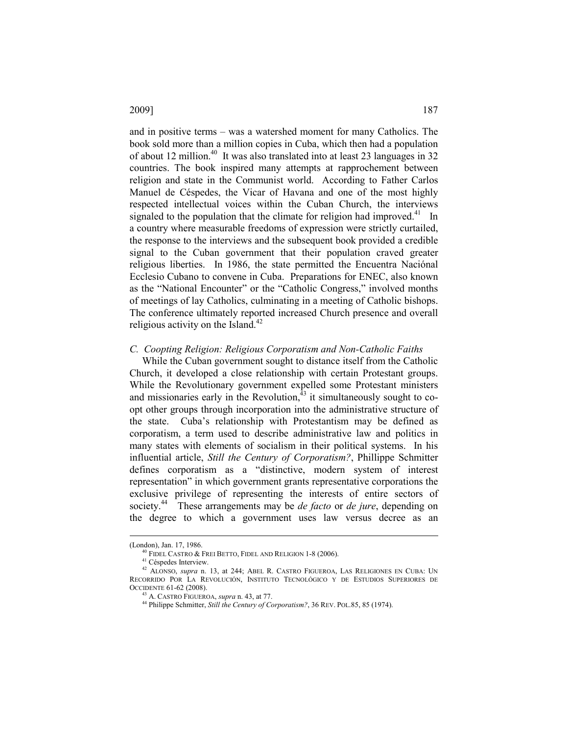and in positive terms – was a watershed moment for many Catholics. The book sold more than a million copies in Cuba, which then had a population of about 12 million.<sup>40</sup> It was also translated into at least 23 languages in 32 countries. The book inspired many attempts at rapprochement between religion and state in the Communist world. According to Father Carlos Manuel de Céspedes, the Vicar of Havana and one of the most highly respected intellectual voices within the Cuban Church, the interviews signaled to the population that the climate for religion had improved. $41$  In a country where measurable freedoms of expression were strictly curtailed, the response to the interviews and the subsequent book provided a credible signal to the Cuban government that their population craved greater religious liberties. In 1986, the state permitted the Encuentra Naciónal Ecclesio Cubano to convene in Cuba. Preparations for ENEC, also known as the "National Encounter" or the "Catholic Congress," involved months of meetings of lay Catholics, culminating in a meeting of Catholic bishops. The conference ultimately reported increased Church presence and overall religious activity on the Island. $42$ 

# C. Coopting Religion: Religious Corporatism and Non-Catholic Faiths

While the Cuban government sought to distance itself from the Catholic Church, it developed a close relationship with certain Protestant groups. While the Revolutionary government expelled some Protestant ministers and missionaries early in the Revolution, $^{43}$  it simultaneously sought to coopt other groups through incorporation into the administrative structure of the state. Cuba's relationship with Protestantism may be defined as corporatism, a term used to describe administrative law and politics in many states with elements of socialism in their political systems. In his influential article, Still the Century of Corporatism?, Phillippe Schmitter defines corporatism as a "distinctive, modern system of interest representation" in which government grants representative corporations the exclusive privilege of representing the interests of entire sectors of society.<sup>44</sup> These arrangements may be *de facto* or *de jure*, depending on the degree to which a government uses law versus decree as an

<sup>(</sup>London), Jan. 17, 1986.

<sup>40</sup> FIDEL CASTRO & FREI BETTO, FIDEL AND RELIGION 1-8 (2006).

<sup>41</sup> Céspedes Interview.

<sup>&</sup>lt;sup>42</sup> ALONSO, *supra* n. 13, at 244; ABEL R. CASTRO FIGUEROA, LAS RELIGIONES EN CUBA: UN RECORRIDO POR LA REVOLUCIÓN, INSTITUTO TECNOLÓGICO Y DE ESTUDIOS SUPERIORES DE OCCIDENTE 61-62 (2008).

<sup>&</sup>lt;sup>43</sup> A. CASTRO FIGUEROA, supra n. 43, at 77.

<sup>&</sup>lt;sup>44</sup> Philippe Schmitter, Still the Century of Corporatism?, 36 REV. POL.85, 85 (1974).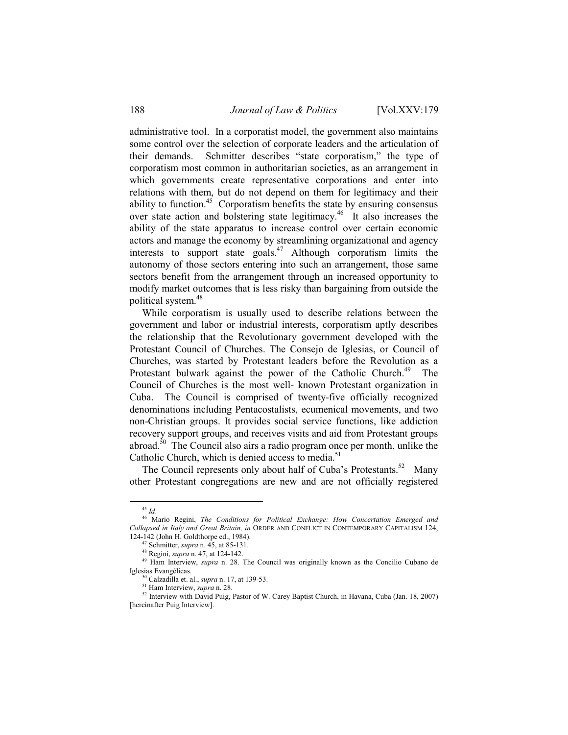administrative tool. In a corporatist model, the government also maintains some control over the selection of corporate leaders and the articulation of their demands. Schmitter describes "state corporatism," the type of corporatism most common in authoritarian societies, as an arrangement in which governments create representative corporations and enter into relations with them, but do not depend on them for legitimacy and their ability to function.<sup>45</sup> Corporatism benefits the state by ensuring consensus over state action and bolstering state legitimacy.<sup>46</sup> It also increases the ability of the state apparatus to increase control over certain economic actors and manage the economy by streamlining organizational and agency interests to support state goals.<sup>47</sup> Although corporatism limits the autonomy of those sectors entering into such an arrangement, those same sectors benefit from the arrangement through an increased opportunity to modify market outcomes that is less risky than bargaining from outside the political system.<sup>48</sup>

While corporatism is usually used to describe relations between the government and labor or industrial interests, corporatism aptly describes the relationship that the Revolutionary government developed with the Protestant Council of Churches. The Consejo de Iglesias, or Council of Churches, was started by Protestant leaders before the Revolution as a Protestant bulwark against the power of the Catholic Church.<sup>49</sup> The Council of Churches is the most well- known Protestant organization in Cuba. The Council is comprised of twenty-five officially recognized denominations including Pentacostalists, ecumenical movements, and two non-Christian groups. It provides social service functions, like addiction recovery support groups, and receives visits and aid from Protestant groups abroad.<sup>50</sup> The Council also airs a radio program once per month, unlike the Catholic Church, which is denied access to media.<sup>51</sup>

The Council represents only about half of Cuba's Protestants.<sup>52</sup> Many other Protestant congregations are new and are not officially registered

 $^{45}$   $\mathit{Id}.$ 

<sup>&</sup>lt;sup>46</sup> Mario Regini, The Conditions for Political Exchange: How Concertation Emerged and Collapsed in Italy and Great Britain, in ORDER AND CONFLICT IN CONTEMPORARY CAPITALISM 124, 124-142 (John H. Goldthorpe ed., 1984).

Schmitter, *supra* n. 45, at 85-131.

<sup>48</sup> Regini, supra n. 47, at 124-142.

<sup>&</sup>lt;sup>49</sup> Ham Interview, *supra* n. 28. The Council was originally known as the Concilio Cubano de Iglesias Evangélicas.

Calzadilla et. al., *supra* n. 17, at 139-53.

<sup>&</sup>lt;sup>51</sup> Ham Interview, *supra* n. 28.

<sup>52</sup> Interview with David Puig, Pastor of W. Carey Baptist Church, in Havana, Cuba (Jan. 18, 2007) [hereinafter Puig Interview].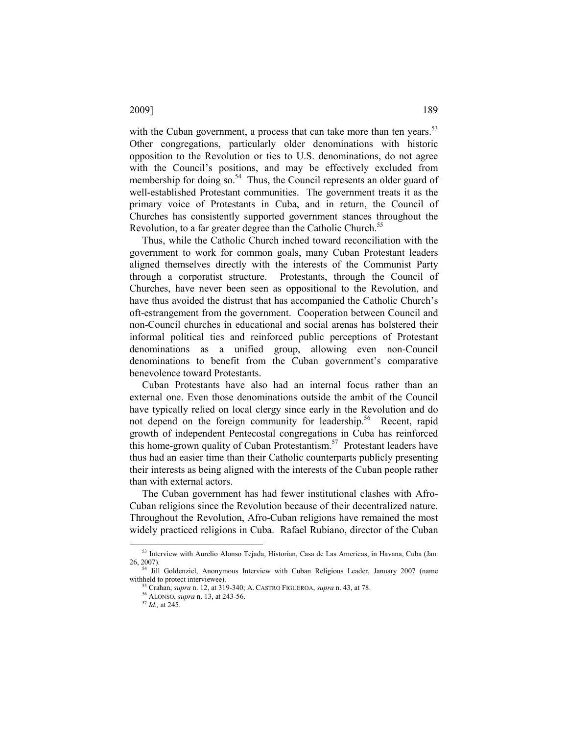# with the Cuban government, a process that can take more than ten years.<sup>53</sup> Other congregations, particularly older denominations with historic opposition to the Revolution or ties to U.S. denominations, do not agree with the Council's positions, and may be effectively excluded from membership for doing so. $54$  Thus, the Council represents an older guard of well-established Protestant communities. The government treats it as the primary voice of Protestants in Cuba, and in return, the Council of Churches has consistently supported government stances throughout the Revolution, to a far greater degree than the Catholic Church.<sup>55</sup>

Thus, while the Catholic Church inched toward reconciliation with the government to work for common goals, many Cuban Protestant leaders aligned themselves directly with the interests of the Communist Party through a corporatist structure. Protestants, through the Council of Churches, have never been seen as oppositional to the Revolution, and have thus avoided the distrust that has accompanied the Catholic Church's oft-estrangement from the government. Cooperation between Council and non-Council churches in educational and social arenas has bolstered their informal political ties and reinforced public perceptions of Protestant denominations as a unified group, allowing even non-Council denominations to benefit from the Cuban government's comparative benevolence toward Protestants.

Cuban Protestants have also had an internal focus rather than an external one. Even those denominations outside the ambit of the Council have typically relied on local clergy since early in the Revolution and do not depend on the foreign community for leadership.<sup>56</sup> Recent, rapid growth of independent Pentecostal congregations in Cuba has reinforced this home-grown quality of Cuban Protestantism.<sup>57</sup> Protestant leaders have thus had an easier time than their Catholic counterparts publicly presenting their interests as being aligned with the interests of the Cuban people rather than with external actors.

The Cuban government has had fewer institutional clashes with Afro-Cuban religions since the Revolution because of their decentralized nature. Throughout the Revolution, Afro-Cuban religions have remained the most widely practiced religions in Cuba. Rafael Rubiano, director of the Cuban

 $\overline{a}$ 

2009] 189

<sup>53</sup> Interview with Aurelio Alonso Tejada, Historian, Casa de Las Americas, in Havana, Cuba (Jan. 26, 2007).

<sup>&</sup>lt;sup>54</sup> Jill Goldenziel, Anonymous Interview with Cuban Religious Leader, January 2007 (name withheld to protect interviewee).

 $55$  Crahan, *supra* n. 12, at 319-340; A. CASTRO FIGUEROA, *supra* n. 43, at 78.

<sup>56</sup> ALONSO, supra n. 13, at 243-56.

 $57$  *Id.*, at 245.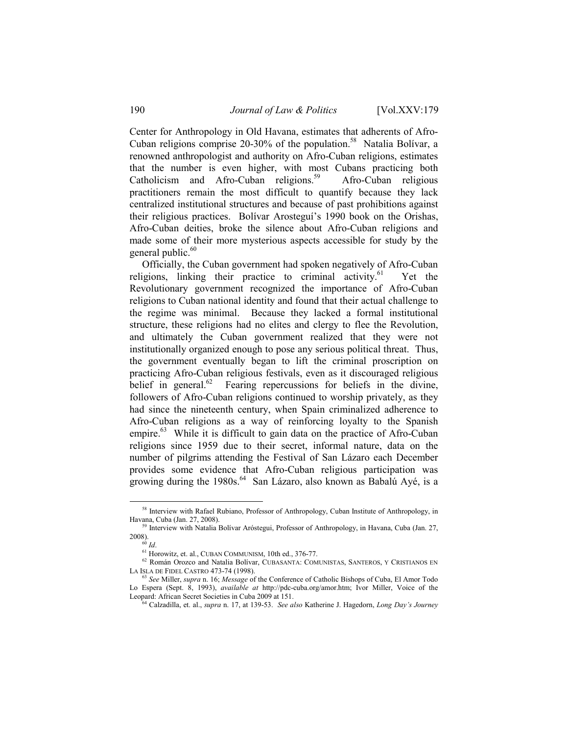Center for Anthropology in Old Havana, estimates that adherents of Afro-Cuban religions comprise 20-30% of the population.<sup>58</sup> Natalia Bolívar, a renowned anthropologist and authority on Afro-Cuban religions, estimates that the number is even higher, with most Cubans practicing both Catholicism and Afro-Cuban religions.<sup>59</sup> Afro-Cuban religious practitioners remain the most difficult to quantify because they lack centralized institutional structures and because of past prohibitions against their religious practices. Bolívar Arosteguí's 1990 book on the Orishas, Afro-Cuban deities, broke the silence about Afro-Cuban religions and made some of their more mysterious aspects accessible for study by the general public. $60$ 

Officially, the Cuban government had spoken negatively of Afro-Cuban religions, linking their practice to criminal activity.<sup>61</sup> Yet the Revolutionary government recognized the importance of Afro-Cuban religions to Cuban national identity and found that their actual challenge to the regime was minimal. Because they lacked a formal institutional structure, these religions had no elites and clergy to flee the Revolution, and ultimately the Cuban government realized that they were not institutionally organized enough to pose any serious political threat. Thus, the government eventually began to lift the criminal proscription on practicing Afro-Cuban religious festivals, even as it discouraged religious belief in general.<sup>62</sup> Fearing repercussions for beliefs in the divine, followers of Afro-Cuban religions continued to worship privately, as they had since the nineteenth century, when Spain criminalized adherence to Afro-Cuban religions as a way of reinforcing loyalty to the Spanish empire.<sup>63</sup> While it is difficult to gain data on the practice of Afro-Cuban religions since 1959 due to their secret, informal nature, data on the number of pilgrims attending the Festival of San Lázaro each December provides some evidence that Afro-Cuban religious participation was growing during the  $1980s^{64}$  San Lázaro, also known as Babalú Ayé, is a

<sup>&</sup>lt;sup>58</sup> Interview with Rafael Rubiano, Professor of Anthropology, Cuban Institute of Anthropology, in Havana, Cuba (Jan. 27, 2008).

<sup>&</sup>lt;sup>59</sup> Interview with Natalia Bolívar Aróstegui, Professor of Anthropology, in Havana, Cuba (Jan. 27, 2008).

 $60$  Id.

<sup>61</sup> Horowitz, et. al., CUBAN COMMUNISM, 10th ed., 376-77.

 $^{62}$  Román Orozco and Natalia Bolívar, CUBASANTA: COMUNISTAS, SANTEROS, Y CRISTIANOS EN LA ISLA DE FIDEL CASTRO 473-74 (1998).

See Miller, supra n. 16; Message of the Conference of Catholic Bishops of Cuba, El Amor Todo Lo Espera (Sept. 8, 1993), *available at http://pdc-cuba.org/amor.htm;* Ivor Miller, Voice of the Leopard: African Secret Societies in Cuba 2009 at 151.

<sup>64</sup> Calzadilla, et. al., supra n. 17, at 139-53. See also Katherine J. Hagedorn, Long Day's Journey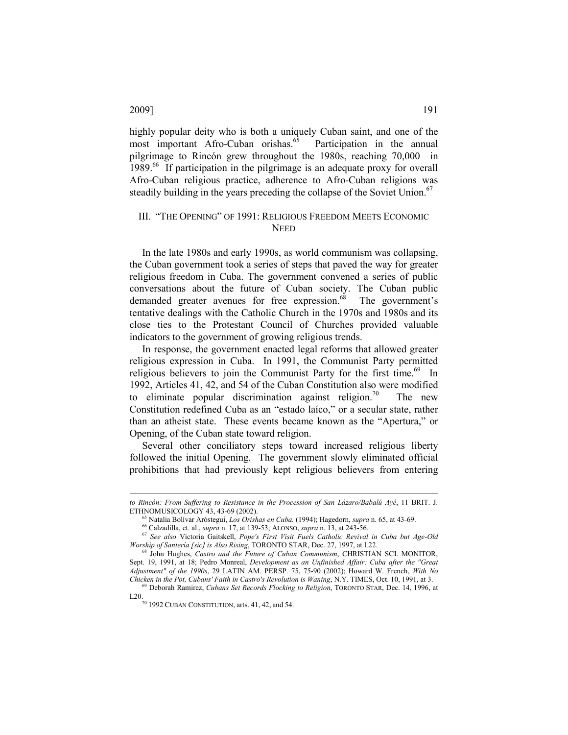highly popular deity who is both a uniquely Cuban saint, and one of the most important Afro-Cuban orishas. $65$  Participation in the annual pilgrimage to Rincón grew throughout the 1980s, reaching 70,000 in 1989.<sup>66</sup> If participation in the pilgrimage is an adequate proxy for overall Afro-Cuban religious practice, adherence to Afro-Cuban religions was steadily building in the years preceding the collapse of the Soviet Union.<sup>67</sup>

# III. "THE OPENING" OF 1991: RELIGIOUS FREEDOM MEETS ECONOMIC **NEED**

In the late 1980s and early 1990s, as world communism was collapsing, the Cuban government took a series of steps that paved the way for greater religious freedom in Cuba. The government convened a series of public conversations about the future of Cuban society. The Cuban public demanded greater avenues for free expression.<sup>68</sup> The government's tentative dealings with the Catholic Church in the 1970s and 1980s and its close ties to the Protestant Council of Churches provided valuable indicators to the government of growing religious trends.

In response, the government enacted legal reforms that allowed greater religious expression in Cuba. In 1991, the Communist Party permitted religious believers to join the Communist Party for the first time.<sup>69</sup> In 1992, Articles 41, 42, and 54 of the Cuban Constitution also were modified to eliminate popular discrimination against religion.<sup>70</sup> The new Constitution redefined Cuba as an "estado laíco," or a secular state, rather than an atheist state. These events became known as the "Apertura," or Opening, of the Cuban state toward religion.

Several other conciliatory steps toward increased religious liberty followed the initial Opening. The government slowly eliminated official prohibitions that had previously kept religious believers from entering

## 2009] 191

to Rincón: From Suffering to Resistance in the Procession of San Lázaro/Babalú Ayé, 11 BRIT. J. ETHNOMUSICOLOGY 43, 43-69 (2002).

 $65$  Natalia Bolívar Aróstegui, Los Orishas en Cuba. (1994); Hagedorn, supra n. 65, at 43-69.

<sup>66</sup> Calzadilla, et. al., supra n. 17, at 139-53; ALONSO, supra n. 13, at 243-56.

<sup>67</sup> See also Victoria Gaitskell, Pope's First Visit Fuels Catholic Revival in Cuba but Age-Old Worship of Santería [sic] is Also Rising, TORONTO STAR, Dec. 27, 1997, at L22.

<sup>&</sup>lt;sup>68</sup> John Hughes, *Castro and the Future of Cuban Communism*, CHRISTIAN SCI. MONITOR, Sept. 19, 1991, at 18; Pedro Monreal, Development as an Unfinished Affair: Cuba after the "Great  $A$ djustment" of the 1990s, 29 LATIN AM. PERSP. 75, 75-90 (2002); Howard W. French, With No Chicken in the Pot, Cubans' Faith in Castro's Revolution is Waning, N.Y. TIMES, Oct. 10, 1991, at 3.

 $^{9}$  Deborah Ramirez, Cubans Set Records Flocking to Religion, TORONTO STAR, Dec. 14, 1996, at L20.  $\frac{70}{70}$  1992 CUBAN CONSTITUTION, arts. 41, 42, and 54.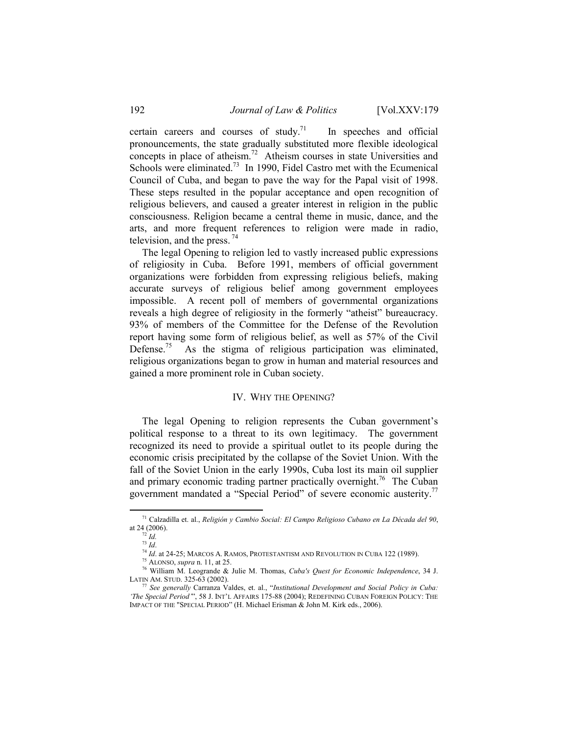certain careers and courses of study.<sup>71</sup> In speeches and official pronouncements, the state gradually substituted more flexible ideological concepts in place of atheism.<sup>72</sup> Atheism courses in state Universities and Schools were eliminated.<sup>73</sup> In 1990, Fidel Castro met with the Ecumenical Council of Cuba, and began to pave the way for the Papal visit of 1998. These steps resulted in the popular acceptance and open recognition of religious believers, and caused a greater interest in religion in the public consciousness. Religion became a central theme in music, dance, and the arts, and more frequent references to religion were made in radio, television, and the press.  $74$ 

The legal Opening to religion led to vastly increased public expressions of religiosity in Cuba. Before 1991, members of official government organizations were forbidden from expressing religious beliefs, making accurate surveys of religious belief among government employees impossible. A recent poll of members of governmental organizations reveals a high degree of religiosity in the formerly "atheist" bureaucracy. 93% of members of the Committee for the Defense of the Revolution report having some form of religious belief, as well as 57% of the Civil Defense.<sup>75</sup> As the stigma of religious participation was eliminated, religious organizations began to grow in human and material resources and gained a more prominent role in Cuban society.

#### IV. WHY THE OPENING?

The legal Opening to religion represents the Cuban government's political response to a threat to its own legitimacy. The government recognized its need to provide a spiritual outlet to its people during the economic crisis precipitated by the collapse of the Soviet Union. With the fall of the Soviet Union in the early 1990s, Cuba lost its main oil supplier and primary economic trading partner practically overnight.<sup>76</sup> The Cuban government mandated a "Special Period" of severe economic austerity.<sup>77</sup>

<sup>&</sup>lt;sup>71</sup> Calzadilla et. al., Religión y Cambio Social: El Campo Religioso Cubano en La Década del 90, at 24 (2006).

 $72$  Id.

 $13$  Id.

 $^{74}$ Id. at 24-25; Marcos A. Ramos, Protestantism and Revolution in Cuba 122 (1989).

 $75$  ALONSO, *supra* n. 11, at 25.

<sup>76</sup> William M. Leogrande & Julie M. Thomas, Cuba's Quest for Economic Independence, 34 J. LATIN AM. STUD. 325-63 (2002).

 $^{77}$  See generally Carranza Valdes, et. al., "Institutional Development and Social Policy in Cuba: 'The Special Period'", 58 J. INT'L AFFAIRS 175-88 (2004); REDEFINING CUBAN FOREIGN POLICY: THE IMPACT OF THE "SPECIAL PERIOD" (H. Michael Erisman & John M. Kirk eds., 2006).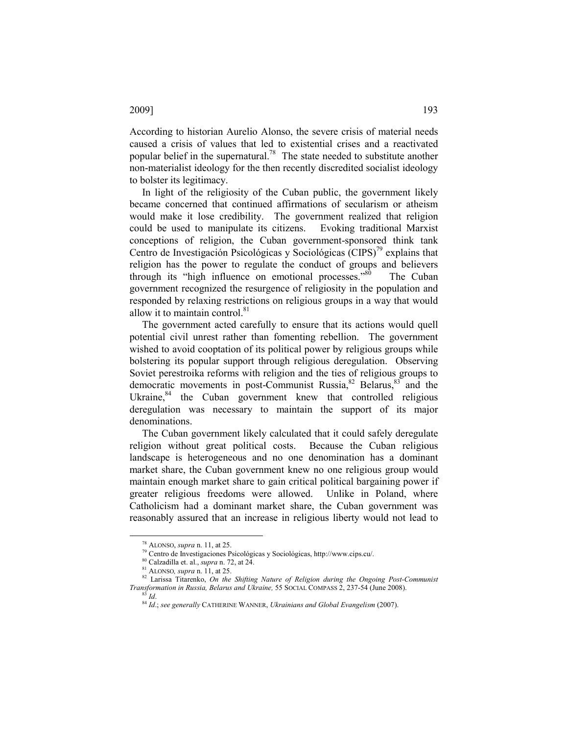# According to historian Aurelio Alonso, the severe crisis of material needs caused a crisis of values that led to existential crises and a reactivated popular belief in the supernatural.<sup>78</sup> The state needed to substitute another non-materialist ideology for the then recently discredited socialist ideology to bolster its legitimacy.

In light of the religiosity of the Cuban public, the government likely became concerned that continued affirmations of secularism or atheism would make it lose credibility. The government realized that religion could be used to manipulate its citizens. Evoking traditional Marxist conceptions of religion, the Cuban government-sponsored think tank Centro de Investigación Psicológicas y Sociológicas (CIPS)<sup>79</sup> explains that religion has the power to regulate the conduct of groups and believers through its "high influence on emotional processes."<sup>80</sup> The Cuban government recognized the resurgence of religiosity in the population and responded by relaxing restrictions on religious groups in a way that would allow it to maintain control. $81$ 

The government acted carefully to ensure that its actions would quell potential civil unrest rather than fomenting rebellion. The government wished to avoid cooptation of its political power by religious groups while bolstering its popular support through religious deregulation. Observing Soviet perestroika reforms with religion and the ties of religious groups to democratic movements in post-Communist Russia,  $82$  Belarus,  $83$  and the Ukraine, $84$  the Cuban government knew that controlled religious deregulation was necessary to maintain the support of its major denominations.

The Cuban government likely calculated that it could safely deregulate religion without great political costs. Because the Cuban religious landscape is heterogeneous and no one denomination has a dominant market share, the Cuban government knew no one religious group would maintain enough market share to gain critical political bargaining power if greater religious freedoms were allowed. Unlike in Poland, where Catholicism had a dominant market share, the Cuban government was reasonably assured that an increase in religious liberty would not lead to

<sup>78</sup> ALONSO, supra n. 11, at 25.

<sup>79</sup> Centro de Investigaciones Psicológicas y Sociológicas, http://www.cips.cu/.

<sup>80</sup> Calzadilla et. al., supra n. 72, at 24.

 $81$  ALONSO, *supra* n. 11, at 25.

 $82$  Larissa Titarenko, On the Shifting Nature of Religion during the Ongoing Post-Communist Transformation in Russia, Belarus and Ukraine, 55 SOCIAL COMPASS 2, 237-54 (June 2008).  $Id$ 

 $84$  Id.; see generally CATHERINE WANNER, Ukrainians and Global Evangelism (2007).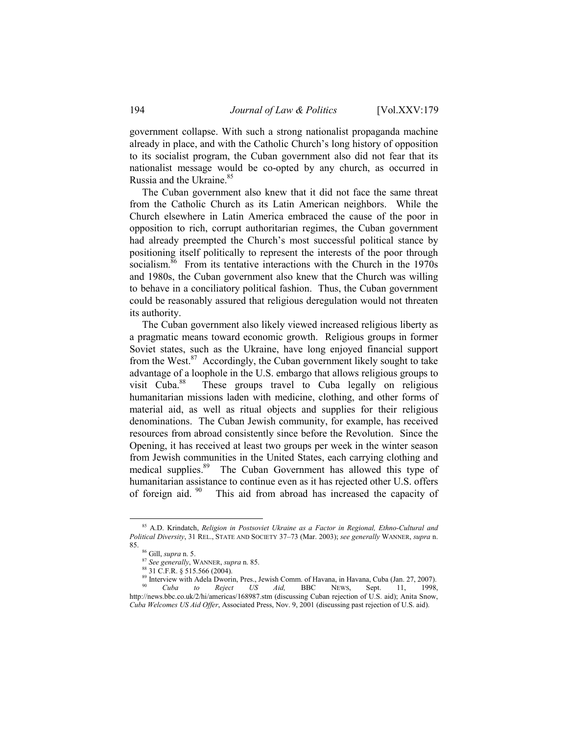government collapse. With such a strong nationalist propaganda machine already in place, and with the Catholic Church's long history of opposition to its socialist program, the Cuban government also did not fear that its nationalist message would be co-opted by any church, as occurred in Russia and the Ukraine.<sup>85</sup>

The Cuban government also knew that it did not face the same threat from the Catholic Church as its Latin American neighbors. While the Church elsewhere in Latin America embraced the cause of the poor in opposition to rich, corrupt authoritarian regimes, the Cuban government had already preempted the Church's most successful political stance by positioning itself politically to represent the interests of the poor through socialism.<sup>86</sup> From its tentative interactions with the Church in the 1970s and 1980s, the Cuban government also knew that the Church was willing to behave in a conciliatory political fashion. Thus, the Cuban government could be reasonably assured that religious deregulation would not threaten its authority.

The Cuban government also likely viewed increased religious liberty as a pragmatic means toward economic growth. Religious groups in former Soviet states, such as the Ukraine, have long enjoyed financial support from the West. $87$  Accordingly, the Cuban government likely sought to take advantage of a loophole in the U.S. embargo that allows religious groups to visit Cuba.<sup>88</sup> These groups travel to Cuba legally on religious humanitarian missions laden with medicine, clothing, and other forms of material aid, as well as ritual objects and supplies for their religious denominations. The Cuban Jewish community, for example, has received resources from abroad consistently since before the Revolution. Since the Opening, it has received at least two groups per week in the winter season from Jewish communities in the United States, each carrying clothing and medical supplies.<sup>89</sup> The Cuban Government has allowed this type of humanitarian assistance to continue even as it has rejected other U.S. offers of foreign aid.  $90$  This aid from abroad has increased the capacity of

 $85$  A.D. Krindatch, Religion in Postsoviet Ukraine as a Factor in Regional, Ethno-Cultural and Political Diversity, 31 REL., STATE AND SOCIETY 37–73 (Mar. 2003); see generally WANNER, supra n. 85.

<sup>86</sup> Gill, supra n. 5.

<sup>87</sup> See generally, WANNER, supra n. 85.

<sup>88</sup> 31 C.F.R. § 515.566 (2004).

<sup>&</sup>lt;sup>89</sup> Interview with Adela Dworin, Pres., Jewish Comm. of Havana, in Havana, Cuba (Jan. 27, 2007).<br><sup>90</sup> *Cuba to Reject US Aid*, BBC NEWS, Sept. 11, 1998. Cuba to Reject US Aid, BBC NEWS, Sept. 11, 1998, http://news.bbc.co.uk/2/hi/americas/168987.stm (discussing Cuban rejection of U.S. aid); Anita Snow, Cuba Welcomes US Aid Offer, Associated Press, Nov. 9, 2001 (discussing past rejection of U.S. aid).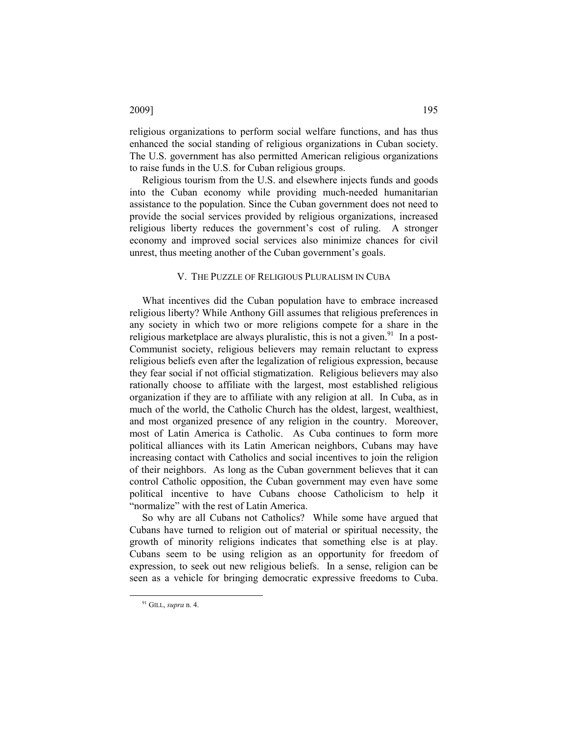# religious organizations to perform social welfare functions, and has thus enhanced the social standing of religious organizations in Cuban society. The U.S. government has also permitted American religious organizations to raise funds in the U.S. for Cuban religious groups.

Religious tourism from the U.S. and elsewhere injects funds and goods into the Cuban economy while providing much-needed humanitarian assistance to the population. Since the Cuban government does not need to provide the social services provided by religious organizations, increased religious liberty reduces the government's cost of ruling. A stronger economy and improved social services also minimize chances for civil unrest, thus meeting another of the Cuban government's goals.

# V. THE PUZZLE OF RELIGIOUS PLURALISM IN CUBA

What incentives did the Cuban population have to embrace increased religious liberty? While Anthony Gill assumes that religious preferences in any society in which two or more religions compete for a share in the religious marketplace are always pluralistic, this is not a given.<sup>91</sup> In a post-Communist society, religious believers may remain reluctant to express religious beliefs even after the legalization of religious expression, because they fear social if not official stigmatization. Religious believers may also rationally choose to affiliate with the largest, most established religious organization if they are to affiliate with any religion at all. In Cuba, as in much of the world, the Catholic Church has the oldest, largest, wealthiest, and most organized presence of any religion in the country. Moreover, most of Latin America is Catholic. As Cuba continues to form more political alliances with its Latin American neighbors, Cubans may have increasing contact with Catholics and social incentives to join the religion of their neighbors. As long as the Cuban government believes that it can control Catholic opposition, the Cuban government may even have some political incentive to have Cubans choose Catholicism to help it "normalize" with the rest of Latin America.

So why are all Cubans not Catholics? While some have argued that Cubans have turned to religion out of material or spiritual necessity, the growth of minority religions indicates that something else is at play. Cubans seem to be using religion as an opportunity for freedom of expression, to seek out new religious beliefs. In a sense, religion can be seen as a vehicle for bringing democratic expressive freedoms to Cuba.

l

# 2009] 195

<sup>&</sup>lt;sup>91</sup> GILL, supra n. 4.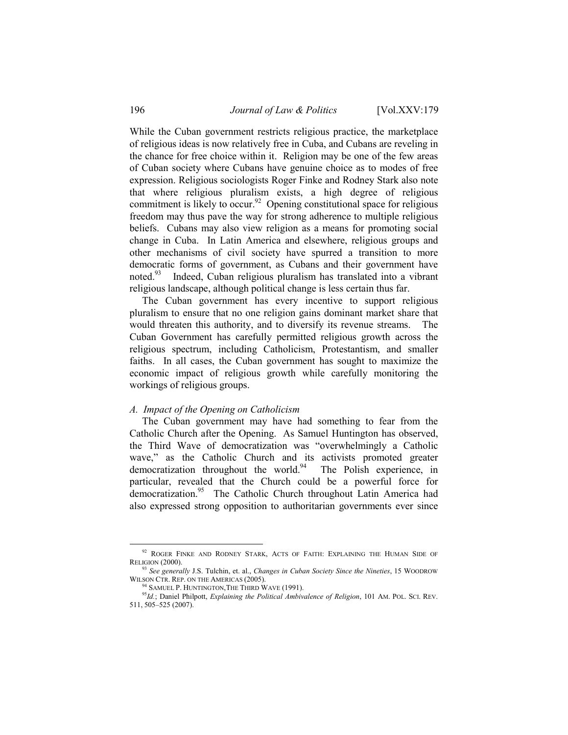While the Cuban government restricts religious practice, the marketplace of religious ideas is now relatively free in Cuba, and Cubans are reveling in the chance for free choice within it. Religion may be one of the few areas of Cuban society where Cubans have genuine choice as to modes of free expression. Religious sociologists Roger Finke and Rodney Stark also note that where religious pluralism exists, a high degree of religious commitment is likely to occur.<sup>92</sup> Opening constitutional space for religious freedom may thus pave the way for strong adherence to multiple religious beliefs. Cubans may also view religion as a means for promoting social change in Cuba. In Latin America and elsewhere, religious groups and other mechanisms of civil society have spurred a transition to more democratic forms of government, as Cubans and their government have noted.<sup>93</sup> Indeed, Cuban religious pluralism has translated into a vibrant religious landscape, although political change is less certain thus far.

The Cuban government has every incentive to support religious pluralism to ensure that no one religion gains dominant market share that would threaten this authority, and to diversify its revenue streams. The Cuban Government has carefully permitted religious growth across the religious spectrum, including Catholicism, Protestantism, and smaller faiths. In all cases, the Cuban government has sought to maximize the economic impact of religious growth while carefully monitoring the workings of religious groups.

## A. Impact of the Opening on Catholicism

The Cuban government may have had something to fear from the Catholic Church after the Opening. As Samuel Huntington has observed, the Third Wave of democratization was "overwhelmingly a Catholic wave," as the Catholic Church and its activists promoted greater democratization throughout the world.<sup>94</sup> The Polish experience, in particular, revealed that the Church could be a powerful force for democratization.<sup>95</sup> The Catholic Church throughout Latin America had also expressed strong opposition to authoritarian governments ever since

<sup>&</sup>lt;sup>92</sup> ROGER FINKE AND RODNEY STARK, ACTS OF FAITH: EXPLAINING THE HUMAN SIDE OF RELIGION (2000).

 $93$  See generally J.S. Tulchin, et. al., *Changes in Cuban Society Since the Nineties*, 15 WOODROW WILSON CTR. REP. ON THE AMERICAS (2005).

<sup>&</sup>lt;sup>4</sup> SAMUEL P. HUNTINGTON, THE THIRD WAVE (1991).

 $95$ Id.; Daniel Philpott, Explaining the Political Ambivalence of Religion, 101 AM. POL. SCI. REV. 511, 505–525 (2007).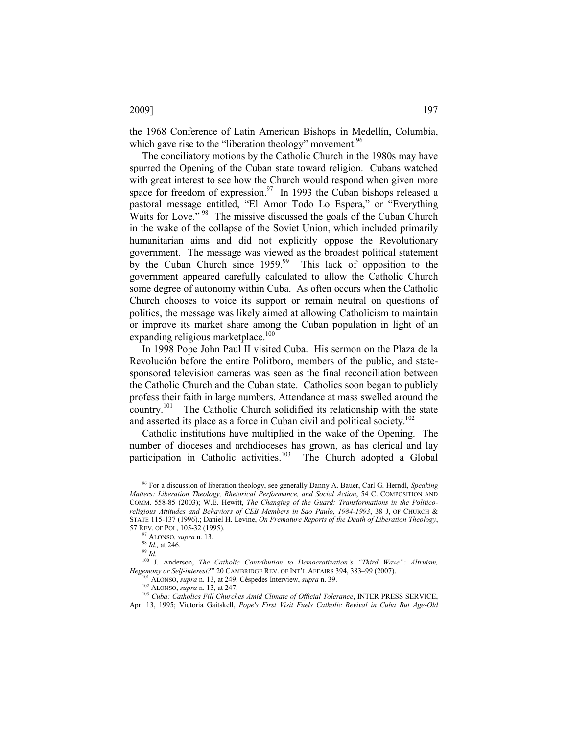the 1968 Conference of Latin American Bishops in Medellín, Columbia, which gave rise to the "liberation theology" movement. $96$ 

The conciliatory motions by the Catholic Church in the 1980s may have spurred the Opening of the Cuban state toward religion. Cubans watched with great interest to see how the Church would respond when given more space for freedom of expression.<sup>97</sup> In 1993 the Cuban bishops released a pastoral message entitled, "El Amor Todo Lo Espera," or "Everything Waits for Love."<sup>98</sup> The missive discussed the goals of the Cuban Church in the wake of the collapse of the Soviet Union, which included primarily humanitarian aims and did not explicitly oppose the Revolutionary government. The message was viewed as the broadest political statement by the Cuban Church since  $1959$ .<sup>99</sup> This lack of opposition to the government appeared carefully calculated to allow the Catholic Church some degree of autonomy within Cuba. As often occurs when the Catholic Church chooses to voice its support or remain neutral on questions of politics, the message was likely aimed at allowing Catholicism to maintain or improve its market share among the Cuban population in light of an expanding religious marketplace.<sup>100</sup>

In 1998 Pope John Paul II visited Cuba. His sermon on the Plaza de la Revolución before the entire Politboro, members of the public, and statesponsored television cameras was seen as the final reconciliation between the Catholic Church and the Cuban state. Catholics soon began to publicly profess their faith in large numbers. Attendance at mass swelled around the country.<sup>101</sup> The Catholic Church solidified its relationship with the state and asserted its place as a force in Cuban civil and political society.<sup>102</sup>

Catholic institutions have multiplied in the wake of the Opening. The number of dioceses and archdioceses has grown, as has clerical and lay participation in Catholic activities.<sup>103</sup> The Church adopted a Global

 $\overline{a}$ 

# 2009] 197

<sup>&</sup>lt;sup>96</sup> For a discussion of liberation theology, see generally Danny A. Bauer, Carl G. Herndl, Speaking Matters: Liberation Theology, Rhetorical Performance, and Social Action, 54 C. COMPOSITION AND COMM. 558-85 (2003); W.E. Hewitt, The Changing of the Guard: Transformations in the Politicoreligious Attitudes and Behaviors of CEB Members in Sao Paulo, 1984-1993, 38 J, OF CHURCH & STATE 115-137 (1996).; Daniel H. Levine, On Premature Reports of the Death of Liberation Theology, 57 REV. OF POL, 105-32 (1995).

 $97$  ALONSO, *supra* n. 13.

<sup>98</sup> Id., at 246.

<sup>99</sup> Id.

<sup>&</sup>lt;sup>100</sup> J. Anderson, *The Catholic Contribution to Democratization's "Third Wave": Altruism*, Hegemony or Self-interest?" 20 CAMBRIDGE REV. OF INT'L AFFAIRS 394, 383–99 (2007).

<sup>101</sup> ALONSO, supra n. 13, at 249; Céspedes Interview, supra n. 39.

<sup>102</sup> ALONSO, supra n. 13, at 247.

<sup>&</sup>lt;sup>103</sup> Cuba: Catholics Fill Churches Amid Climate of Official Tolerance, INTER PRESS SERVICE, Apr. 13, 1995; Victoria Gaitskell, Pope's First Visit Fuels Catholic Revival in Cuba But Age-Old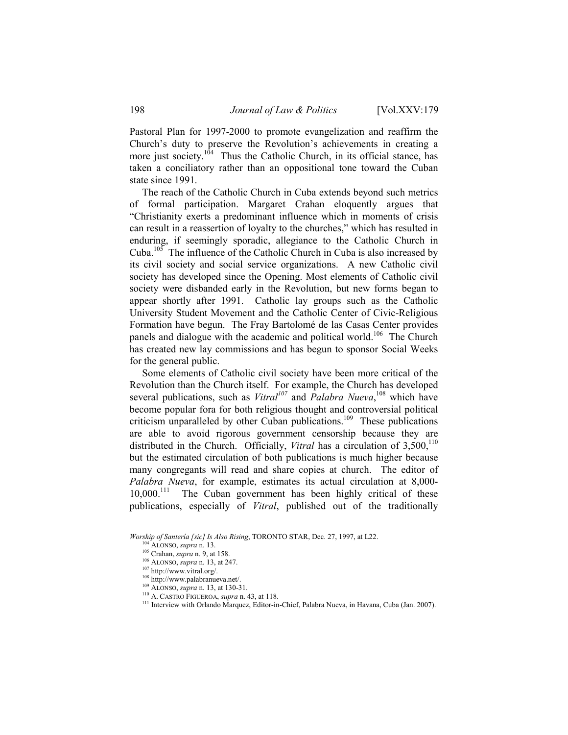Pastoral Plan for 1997-2000 to promote evangelization and reaffirm the Church's duty to preserve the Revolution's achievements in creating a more just society.<sup>104</sup> Thus the Catholic Church, in its official stance, has taken a conciliatory rather than an oppositional tone toward the Cuban state since 1991.

The reach of the Catholic Church in Cuba extends beyond such metrics of formal participation. Margaret Crahan eloquently argues that "Christianity exerts a predominant influence which in moments of crisis can result in a reassertion of loyalty to the churches," which has resulted in enduring, if seemingly sporadic, allegiance to the Catholic Church in Cuba.<sup>105</sup> The influence of the Catholic Church in Cuba is also increased by its civil society and social service organizations. A new Catholic civil society has developed since the Opening. Most elements of Catholic civil society were disbanded early in the Revolution, but new forms began to appear shortly after 1991. Catholic lay groups such as the Catholic University Student Movement and the Catholic Center of Civic-Religious Formation have begun. The Fray Bartolomé de las Casas Center provides panels and dialogue with the academic and political world.<sup>106</sup> The Church has created new lay commissions and has begun to sponsor Social Weeks for the general public.

Some elements of Catholic civil society have been more critical of the Revolution than the Church itself. For example, the Church has developed several publications, such as *Vitral*<sup>107</sup> and *Palabra Nueva*,<sup>108</sup> which have become popular fora for both religious thought and controversial political criticism unparalleled by other Cuban publications.<sup>109</sup> These publications are able to avoid rigorous government censorship because they are distributed in the Church. Officially, *Vitral* has a circulation of  $3,500$ ,<sup>110</sup> but the estimated circulation of both publications is much higher because many congregants will read and share copies at church. The editor of Palabra Nueva, for example, estimates its actual circulation at 8,000- 10,000.<sup>111</sup> The Cuban government has been highly critical of these publications, especially of Vitral, published out of the traditionally

Worship of Santería [sic] Is Also Rising, TORONTO STAR, Dec. 27, 1997, at L22.

ALONSO, supra n. 13.

<sup>&</sup>lt;sup>105</sup> Crahan, *supra* n. 9, at 158.

<sup>106</sup> ALONSO, supra n. 13, at 247.

<sup>107</sup> http://www.vitral.org/.

<sup>108</sup> http://www.palabranueva.net/.

<sup>&</sup>lt;sup>109</sup> ALONSO, *supra* n. 13, at 130-31.

<sup>110</sup> A. CASTRO FIGUEROA, supra n. 43, at 118.

<sup>&</sup>lt;sup>111</sup> Interview with Orlando Marquez, Editor-in-Chief, Palabra Nueva, in Havana, Cuba (Jan. 2007).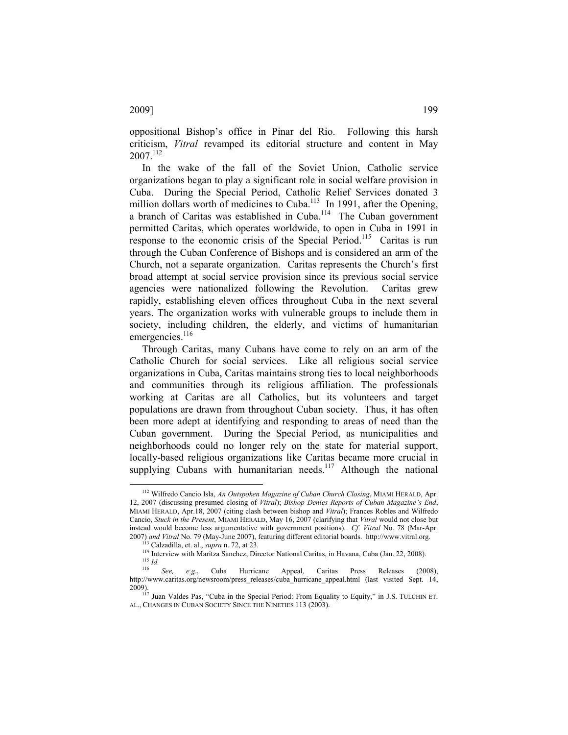oppositional Bishop's office in Pinar del Rio. Following this harsh criticism, Vitral revamped its editorial structure and content in May  $2007^{112}$ 

In the wake of the fall of the Soviet Union, Catholic service organizations began to play a significant role in social welfare provision in Cuba. During the Special Period, Catholic Relief Services donated 3 million dollars worth of medicines to Cuba.<sup>113</sup> In 1991, after the Opening, a branch of Caritas was established in Cuba.<sup>114</sup> The Cuban government permitted Caritas, which operates worldwide, to open in Cuba in 1991 in response to the economic crisis of the Special Period.<sup>115</sup> Caritas is run through the Cuban Conference of Bishops and is considered an arm of the Church, not a separate organization. Caritas represents the Church's first broad attempt at social service provision since its previous social service agencies were nationalized following the Revolution. Caritas grew rapidly, establishing eleven offices throughout Cuba in the next several years. The organization works with vulnerable groups to include them in society, including children, the elderly, and victims of humanitarian emergencies.<sup>116</sup>

Through Caritas, many Cubans have come to rely on an arm of the Catholic Church for social services. Like all religious social service organizations in Cuba, Caritas maintains strong ties to local neighborhoods and communities through its religious affiliation. The professionals working at Caritas are all Catholics, but its volunteers and target populations are drawn from throughout Cuban society. Thus, it has often been more adept at identifying and responding to areas of need than the Cuban government. During the Special Period, as municipalities and neighborhoods could no longer rely on the state for material support, locally-based religious organizations like Caritas became more crucial in supplying Cubans with humanitarian needs.<sup>117</sup> Although the national

<sup>&</sup>lt;sup>112</sup> Wilfredo Cancio Isla, An Outspoken Magazine of Cuban Church Closing, MIAMI HERALD, Apr. 12, 2007 (discussing presumed closing of Vitral); Bishop Denies Reports of Cuban Magazine's End, MIAMI HERALD, Apr.18, 2007 (citing clash between bishop and Vitral); Frances Robles and Wilfredo Cancio, Stuck in the Present, MIAMI HERALD, May 16, 2007 (clarifying that Vitral would not close but instead would become less argumentative with government positions). Cf. Vitral No. 78 (Mar-Apr. 2007) and Vitral No. 79 (May-June 2007), featuring different editorial boards. http://www.vitral.org.

Calzadilla, et. al., supra n. 72, at 23.

<sup>&</sup>lt;sup>114</sup> Interview with Maritza Sanchez, Director National Caritas, in Havana, Cuba (Jan. 22, 2008).  $115$  *Id.* 

 $\frac{116}{116}$  See, e.g., Cuba Hurricane Appeal, Caritas Press Releases (2008), http://www.caritas.org/newsroom/press\_releases/cuba\_hurricane\_appeal.html (last visited Sept. 14, 2009).

<sup>&</sup>lt;sup>117</sup> Juan Valdes Pas, "Cuba in the Special Period: From Equality to Equity," in J.S. TULCHIN ET. AL., CHANGES IN CUBAN SOCIETY SINCE THE NINETIES 113 (2003).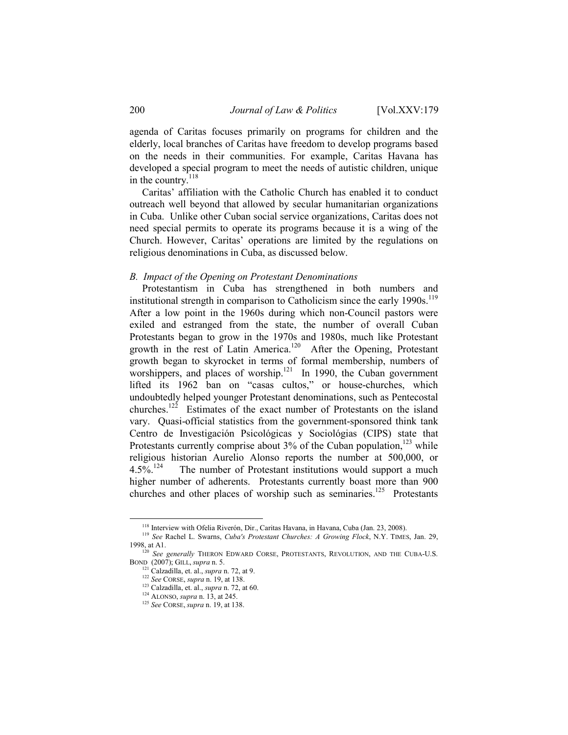agenda of Caritas focuses primarily on programs for children and the elderly, local branches of Caritas have freedom to develop programs based on the needs in their communities. For example, Caritas Havana has developed a special program to meet the needs of autistic children, unique in the country. $^{118}$ 

Caritas' affiliation with the Catholic Church has enabled it to conduct outreach well beyond that allowed by secular humanitarian organizations in Cuba. Unlike other Cuban social service organizations, Caritas does not need special permits to operate its programs because it is a wing of the Church. However, Caritas' operations are limited by the regulations on religious denominations in Cuba, as discussed below.

# B. Impact of the Opening on Protestant Denominations

Protestantism in Cuba has strengthened in both numbers and institutional strength in comparison to Catholicism since the early  $1990s$ .<sup>119</sup> After a low point in the 1960s during which non-Council pastors were exiled and estranged from the state, the number of overall Cuban Protestants began to grow in the 1970s and 1980s, much like Protestant growth in the rest of Latin America.<sup>120</sup> After the Opening, Protestant growth began to skyrocket in terms of formal membership, numbers of worshippers, and places of worship. $121$  In 1990, the Cuban government lifted its 1962 ban on "casas cultos," or house-churches, which undoubtedly helped younger Protestant denominations, such as Pentecostal churches.<sup>122</sup> Estimates of the exact number of Protestants on the island vary. Quasi-official statistics from the government-sponsored think tank Centro de Investigación Psicológicas y Sociológias (CIPS) state that Protestants currently comprise about  $3\%$  of the Cuban population,<sup>123</sup> while religious historian Aurelio Alonso reports the number at 500,000, or  $4.5\%$ <sup>124</sup> The number of Protestant institutions would support a much higher number of adherents. Protestants currently boast more than 900 churches and other places of worship such as seminaries.<sup>125</sup> Protestants

<sup>&</sup>lt;sup>118</sup> Interview with Ofelia Riverón, Dir., Caritas Havana, in Havana, Cuba (Jan. 23, 2008).

<sup>&</sup>lt;sup>119</sup> See Rachel L. Swarns, Cuba's Protestant Churches: A Growing Flock, N.Y. TIMES, Jan. 29, 1998, at A1.<br><sup>120</sup> See generally THERON EDWARD CORSE, PROTESTANTS, REVOLUTION, AND THE CUBA-U.S.

BOND (2007); GILL, supra n. 5.

 $121$  Calzadilla, et. al., *supra* n. 72, at 9.

 $122$  See CORSE, supra n. 19, at 138.

 $123$  Calzadilla, et. al., supra n. 72, at 60.

<sup>124</sup> ALONSO, supra n. 13, at 245.

<sup>125</sup> See CORSE, supra n. 19, at 138.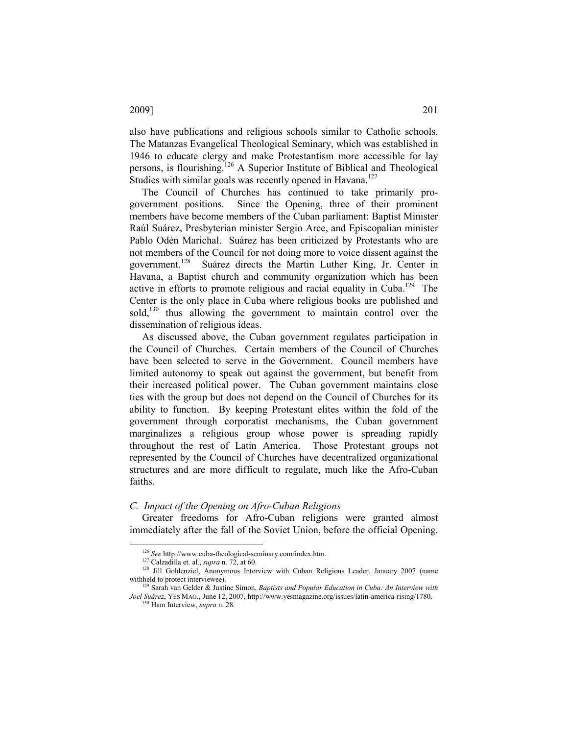also have publications and religious schools similar to Catholic schools. The Matanzas Evangelical Theological Seminary, which was established in 1946 to educate clergy and make Protestantism more accessible for lay persons, is flourishing.<sup>126</sup> A Superior Institute of Biblical and Theological Studies with similar goals was recently opened in Havana.<sup>127</sup>

The Council of Churches has continued to take primarily progovernment positions. Since the Opening, three of their prominent members have become members of the Cuban parliament: Baptist Minister Raúl Suárez, Presbyterian minister Sergio Arce, and Episcopalian minister Pablo Odén Marichal. Suárez has been criticized by Protestants who are not members of the Council for not doing more to voice dissent against the government.<sup>128</sup> Suárez directs the Martin Luther King, Jr. Center in Havana, a Baptist church and community organization which has been active in efforts to promote religious and racial equality in Cuba.<sup>129</sup> The Center is the only place in Cuba where religious books are published and sold,<sup>130</sup> thus allowing the government to maintain control over the dissemination of religious ideas.

As discussed above, the Cuban government regulates participation in the Council of Churches. Certain members of the Council of Churches have been selected to serve in the Government. Council members have limited autonomy to speak out against the government, but benefit from their increased political power. The Cuban government maintains close ties with the group but does not depend on the Council of Churches for its ability to function. By keeping Protestant elites within the fold of the government through corporatist mechanisms, the Cuban government marginalizes a religious group whose power is spreading rapidly throughout the rest of Latin America. Those Protestant groups not represented by the Council of Churches have decentralized organizational structures and are more difficult to regulate, much like the Afro-Cuban faiths.

# C. Impact of the Opening on Afro-Cuban Religions

Greater freedoms for Afro-Cuban religions were granted almost immediately after the fall of the Soviet Union, before the official Opening.

 $\overline{a}$ 

 $30$  Ham Interview, *supra* n. 28.

<sup>126</sup> See http://www.cuba-theological-seminary.com/index.htm.

 $127$  Calzadilla et. al., supra n. 72, at 60.

<sup>&</sup>lt;sup>128</sup> Jill Goldenziel, Anonymous Interview with Cuban Religious Leader, January 2007 (name withheld to protect interviewee).

 $129$  Sarah van Gelder & Justine Simon, Baptists and Popular Education in Cuba: An Interview with Joel Suárez, YES MAG., June 12, 2007, http://www.yesmagazine.org/issues/latin-america-rising/1780.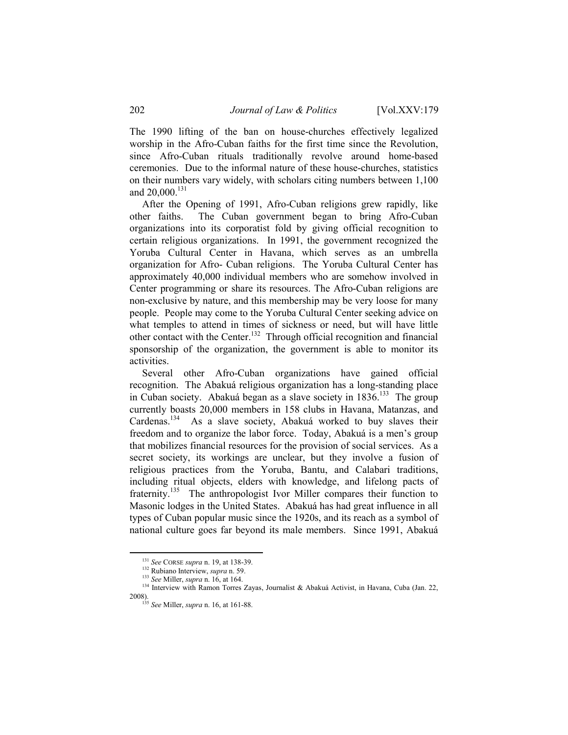The 1990 lifting of the ban on house-churches effectively legalized worship in the Afro-Cuban faiths for the first time since the Revolution, since Afro-Cuban rituals traditionally revolve around home-based ceremonies. Due to the informal nature of these house-churches, statistics on their numbers vary widely, with scholars citing numbers between 1,100 and  $20,000$ .<sup>131</sup>

After the Opening of 1991, Afro-Cuban religions grew rapidly, like other faiths. The Cuban government began to bring Afro-Cuban organizations into its corporatist fold by giving official recognition to certain religious organizations. In 1991, the government recognized the Yoruba Cultural Center in Havana, which serves as an umbrella organization for Afro- Cuban religions. The Yoruba Cultural Center has approximately 40,000 individual members who are somehow involved in Center programming or share its resources. The Afro-Cuban religions are non-exclusive by nature, and this membership may be very loose for many people. People may come to the Yoruba Cultural Center seeking advice on what temples to attend in times of sickness or need, but will have little other contact with the Center.<sup>132</sup> Through official recognition and financial sponsorship of the organization, the government is able to monitor its activities.

Several other Afro-Cuban organizations have gained official recognition. The Abakuá religious organization has a long-standing place in Cuban society. Abakuá began as a slave society in 1836.<sup>133</sup> The group currently boasts 20,000 members in 158 clubs in Havana, Matanzas, and Cardenas.<sup>134</sup> As a slave society, Abakuá worked to buy slaves their freedom and to organize the labor force. Today, Abakuá is a men's group that mobilizes financial resources for the provision of social services. As a secret society, its workings are unclear, but they involve a fusion of religious practices from the Yoruba, Bantu, and Calabari traditions, including ritual objects, elders with knowledge, and lifelong pacts of fraternity.<sup>135</sup> The anthropologist Ivor Miller compares their function to Masonic lodges in the United States. Abakuá has had great influence in all types of Cuban popular music since the 1920s, and its reach as a symbol of national culture goes far beyond its male members. Since 1991, Abakuá

<sup>&</sup>lt;sup>131</sup> See CORSE supra n. 19, at 138-39.

<sup>&</sup>lt;sup>132</sup> Rubiano Interview, *supra* n. 59.

 $133$  See Miller, *supra* n. 16, at 164.

<sup>&</sup>lt;sup>134</sup> Interview with Ramon Torres Zayas, Journalist & Abakuá Activist, in Havana, Cuba (Jan. 22, 2008).<br><sup>135</sup> See Miller, *supra* n. 16, at 161-88.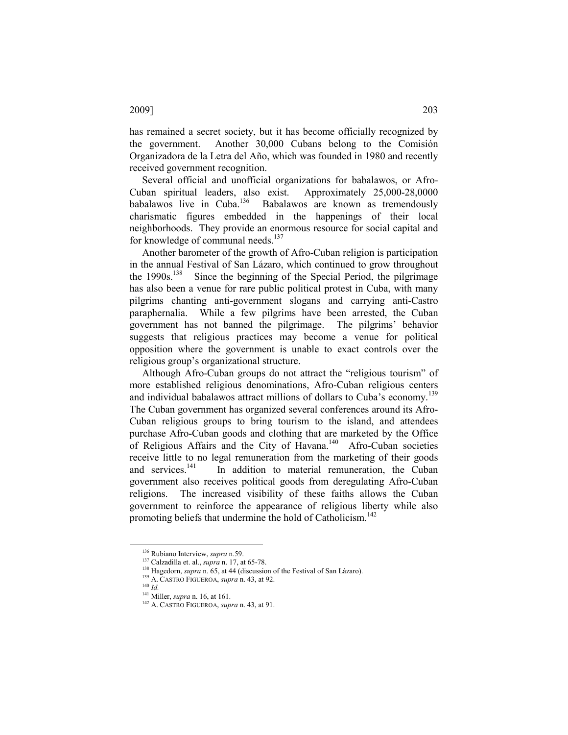has remained a secret society, but it has become officially recognized by the government. Another 30,000 Cubans belong to the Comisión Organizadora de la Letra del Año, which was founded in 1980 and recently received government recognition.

Several official and unofficial organizations for babalawos, or Afro-Cuban spiritual leaders, also exist. Approximately 25,000-28,0000 Babalawos are known as tremendously charismatic figures embedded in the happenings of their local neighborhoods. They provide an enormous resource for social capital and for knowledge of communal needs.<sup>137</sup>

Another barometer of the growth of Afro-Cuban religion is participation in the annual Festival of San Lázaro, which continued to grow throughout the 1990s.<sup>138</sup> Since the beginning of the Special Period, the pilgrimage has also been a venue for rare public political protest in Cuba, with many pilgrims chanting anti-government slogans and carrying anti-Castro paraphernalia. While a few pilgrims have been arrested, the Cuban government has not banned the pilgrimage. The pilgrims' behavior suggests that religious practices may become a venue for political opposition where the government is unable to exact controls over the religious group's organizational structure.

Although Afro-Cuban groups do not attract the "religious tourism" of more established religious denominations, Afro-Cuban religious centers and individual babalawos attract millions of dollars to Cuba's economy.<sup>139</sup> The Cuban government has organized several conferences around its Afro-Cuban religious groups to bring tourism to the island, and attendees purchase Afro-Cuban goods and clothing that are marketed by the Office of Religious Affairs and the City of Havana.<sup>140</sup> Afro-Cuban societies receive little to no legal remuneration from the marketing of their goods and services.<sup>141</sup> In addition to material remuneration, the Cuban government also receives political goods from deregulating Afro-Cuban religions. The increased visibility of these faiths allows the Cuban government to reinforce the appearance of religious liberty while also promoting beliefs that undermine the hold of Catholicism.<sup>142</sup>

<sup>&</sup>lt;sup>136</sup> Rubiano Interview, supra n.59.

<sup>137</sup> Calzadilla et. al., supra n. 17, at 65-78.

<sup>&</sup>lt;sup>138</sup> Hagedorn, *supra* n. 65, at 44 (discussion of the Festival of San Lázaro).

 $^{139}$  A. CASTRO FIGUEROA, supra n. 43, at 92.

 $^{140}$   $\overline{ld}$ .

<sup>141</sup> Miller, supra n. 16, at 161.

<sup>&</sup>lt;sup>142</sup> A. CASTRO FIGUEROA, *supra* n. 43, at 91.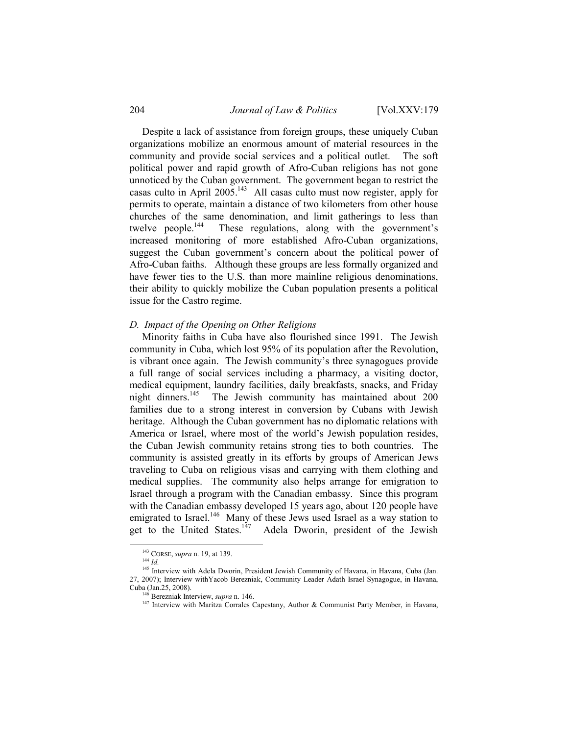Despite a lack of assistance from foreign groups, these uniquely Cuban organizations mobilize an enormous amount of material resources in the community and provide social services and a political outlet. The soft political power and rapid growth of Afro-Cuban religions has not gone unnoticed by the Cuban government. The government began to restrict the casas culto in April 2005.<sup>143</sup> All casas culto must now register, apply for permits to operate, maintain a distance of two kilometers from other house churches of the same denomination, and limit gatherings to less than twelve people.<sup>144</sup> These regulations, along with the government's increased monitoring of more established Afro-Cuban organizations, suggest the Cuban government's concern about the political power of Afro-Cuban faiths. Although these groups are less formally organized and have fewer ties to the U.S. than more mainline religious denominations, their ability to quickly mobilize the Cuban population presents a political issue for the Castro regime.

#### D. Impact of the Opening on Other Religions

Minority faiths in Cuba have also flourished since 1991. The Jewish community in Cuba, which lost 95% of its population after the Revolution, is vibrant once again. The Jewish community's three synagogues provide a full range of social services including a pharmacy, a visiting doctor, medical equipment, laundry facilities, daily breakfasts, snacks, and Friday night dinners.<sup>145</sup> The Jewish community has maintained about 200 families due to a strong interest in conversion by Cubans with Jewish heritage. Although the Cuban government has no diplomatic relations with America or Israel, where most of the world's Jewish population resides, the Cuban Jewish community retains strong ties to both countries. The community is assisted greatly in its efforts by groups of American Jews traveling to Cuba on religious visas and carrying with them clothing and medical supplies. The community also helps arrange for emigration to Israel through a program with the Canadian embassy. Since this program with the Canadian embassy developed 15 years ago, about 120 people have emigrated to Israel.<sup>146</sup> Many of these Jews used Israel as a way station to get to the United States.<sup>147</sup> Adela Dworin, president of the Jewish

<sup>143</sup> CORSE, *supra* n. 19, at 139.

 $144$   $Id.$ 

<sup>&</sup>lt;sup>145</sup> Interview with Adela Dworin, President Jewish Community of Havana, in Havana, Cuba (Jan. 27, 2007); Interview withYacob Berezniak, Community Leader Adath Israel Synagogue, in Havana, Cuba (Jan.25, 2008).

 $146$  Berezniak Interview, supra n. 146.

<sup>&</sup>lt;sup>147</sup> Interview with Maritza Corrales Capestany, Author & Communist Party Member, in Havana,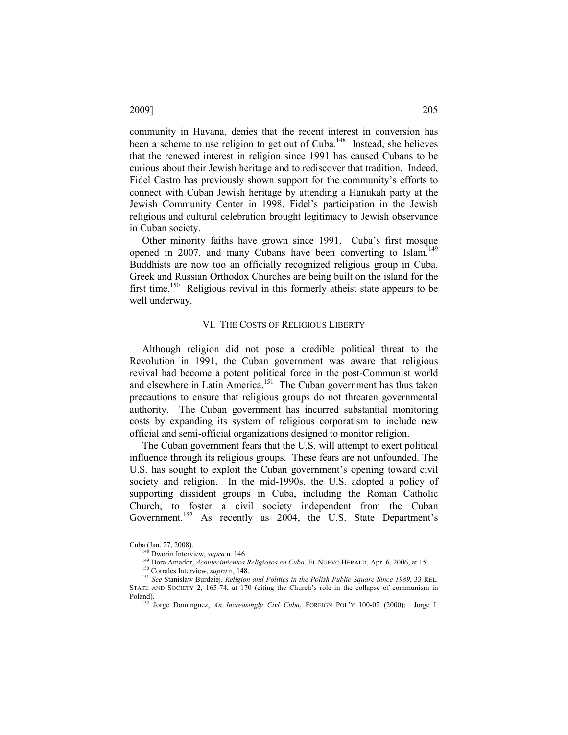community in Havana, denies that the recent interest in conversion has been a scheme to use religion to get out of Cuba.<sup>148</sup> Instead, she believes that the renewed interest in religion since 1991 has caused Cubans to be curious about their Jewish heritage and to rediscover that tradition. Indeed, Fidel Castro has previously shown support for the community's efforts to connect with Cuban Jewish heritage by attending a Hanukah party at the Jewish Community Center in 1998. Fidel's participation in the Jewish religious and cultural celebration brought legitimacy to Jewish observance in Cuban society.

Other minority faiths have grown since 1991. Cuba's first mosque opened in 2007, and many Cubans have been converting to Islam.<sup>149</sup> Buddhists are now too an officially recognized religious group in Cuba. Greek and Russian Orthodox Churches are being built on the island for the first time.<sup>150</sup> Religious revival in this formerly atheist state appears to be well underway.

#### VI. THE COSTS OF RELIGIOUS LIBERTY

Although religion did not pose a credible political threat to the Revolution in 1991, the Cuban government was aware that religious revival had become a potent political force in the post-Communist world and elsewhere in Latin America.<sup>151</sup> The Cuban government has thus taken precautions to ensure that religious groups do not threaten governmental authority. The Cuban government has incurred substantial monitoring costs by expanding its system of religious corporatism to include new official and semi-official organizations designed to monitor religion.

The Cuban government fears that the U.S. will attempt to exert political influence through its religious groups. These fears are not unfounded. The U.S. has sought to exploit the Cuban government's opening toward civil society and religion. In the mid-1990s, the U.S. adopted a policy of supporting dissident groups in Cuba, including the Roman Catholic Church, to foster a civil society independent from the Cuban Government.<sup>152</sup> As recently as 2004, the U.S. State Department's

Cuba (Jan. 27, 2008).

<sup>&</sup>lt;sup>48</sup> Dworin Interview, *supra* n. 146.

<sup>149</sup> Dora Amador, Acontecimientos Religiosos en Cuba, EL NUEVO HERALD, Apr. 6, 2006, at 15.

<sup>&</sup>lt;sup>150</sup> Corrales Interview, supra n, 148.

<sup>&</sup>lt;sup>151</sup> See Stanislaw Burdziej, Religion and Politics in the Polish Public Square Since 1989, 33 REL. STATE AND SOCIETY 2, 165-74, at 170 (citing the Church's role in the collapse of communism in Poland).

Jorge Domínguez, An Increasingly Civl Cuba, FOREIGN POL'Y 100-02 (2000); Jorge I.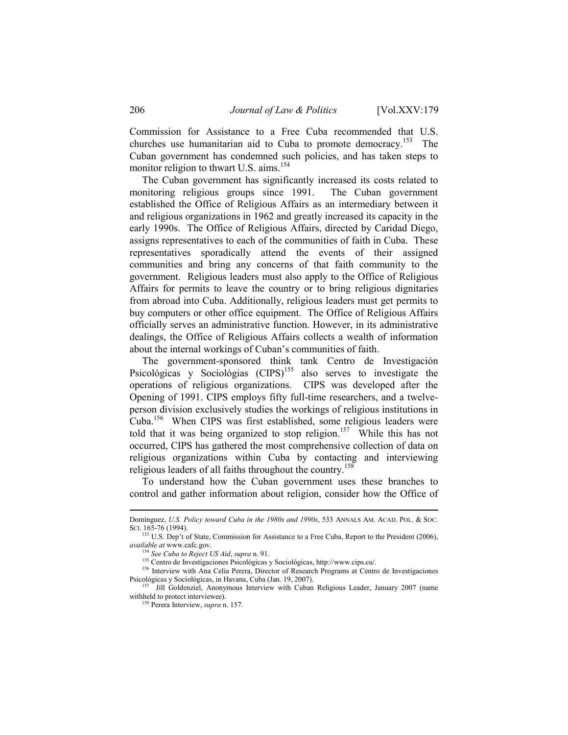Commission for Assistance to a Free Cuba recommended that U.S. churches use humanitarian aid to Cuba to promote democracy.<sup>153</sup> The Cuban government has condemned such policies, and has taken steps to monitor religion to thwart U.S. aims.<sup>154</sup>

The Cuban government has significantly increased its costs related to monitoring religious groups since 1991. The Cuban government established the Office of Religious Affairs as an intermediary between it and religious organizations in 1962 and greatly increased its capacity in the early 1990s. The Office of Religious Affairs, directed by Caridad Diego, assigns representatives to each of the communities of faith in Cuba. These representatives sporadically attend the events of their assigned communities and bring any concerns of that faith community to the government. Religious leaders must also apply to the Office of Religious Affairs for permits to leave the country or to bring religious dignitaries from abroad into Cuba. Additionally, religious leaders must get permits to buy computers or other office equipment. The Office of Religious Affairs officially serves an administrative function. However, in its administrative dealings, the Office of Religious Affairs collects a wealth of information about the internal workings of Cuban's communities of faith.

The government-sponsored think tank Centro de Investigación Psicológicas y Sociológias  $(CIPS)^{155}$  also serves to investigate the operations of religious organizations. CIPS was developed after the Opening of 1991. CIPS employs fifty full-time researchers, and a twelveperson division exclusively studies the workings of religious institutions in Cuba.<sup>156</sup> When CIPS was first established, some religious leaders were told that it was being organized to stop religion.<sup>157</sup> While this has not occurred, CIPS has gathered the most comprehensive collection of data on religious organizations within Cuba by contacting and interviewing religious leaders of all faiths throughout the country.<sup>158</sup>

To understand how the Cuban government uses these branches to control and gather information about religion, consider how the Office of

Domínguez, U.S. Policy toward Cuba in the 1980s and 1990s, 533 ANNALS AM. ACAD. POL. & SOC. SCL 165-76 (1994).

<sup>&</sup>lt;sup>153</sup> U.S. Dep't of State, Commission for Assistance to a Free Cuba, Report to the President (2006), available at www.cafc.gov.

 $154$  See Cuba to Reject US Aid, supra n. 91.

<sup>155</sup> Centro de Investigaciones Psicológicas y Sociológicas, http://www.cips.cu/.

<sup>&</sup>lt;sup>156</sup> Interview with Ana Celia Perera, Director of Research Programs at Centro de Investigaciones Psicológicas y Sociológicas, in Havana, Cuba (Jan. 19, 2007).

<sup>157</sup> Jill Goldenziel, Anonymous Interview with Cuban Religious Leader, January 2007 (name withheld to protect interviewee).

<sup>&</sup>lt;sup>8</sup> Perera Interview, *supra* n. 157.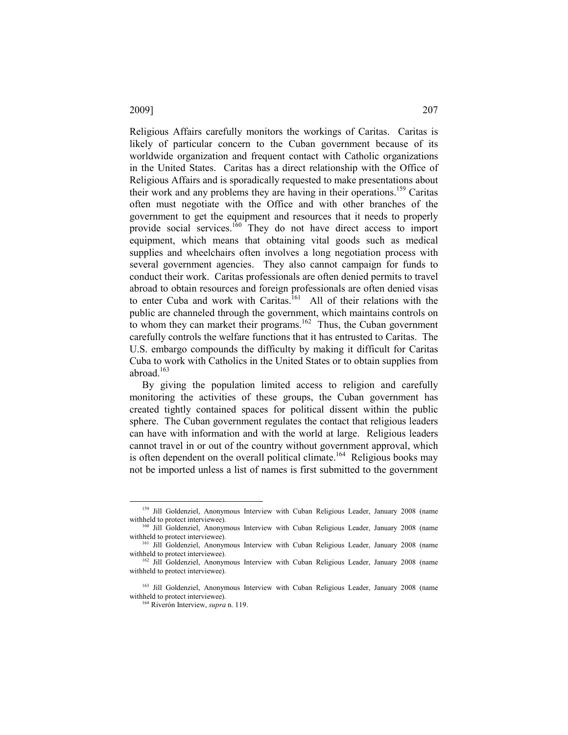Religious Affairs carefully monitors the workings of Caritas. Caritas is likely of particular concern to the Cuban government because of its worldwide organization and frequent contact with Catholic organizations in the United States. Caritas has a direct relationship with the Office of Religious Affairs and is sporadically requested to make presentations about their work and any problems they are having in their operations.<sup>159</sup> Caritas often must negotiate with the Office and with other branches of the government to get the equipment and resources that it needs to properly provide social services.<sup>160</sup> They do not have direct access to import equipment, which means that obtaining vital goods such as medical supplies and wheelchairs often involves a long negotiation process with several government agencies. They also cannot campaign for funds to conduct their work. Caritas professionals are often denied permits to travel abroad to obtain resources and foreign professionals are often denied visas to enter Cuba and work with Caritas.<sup>161</sup> All of their relations with the public are channeled through the government, which maintains controls on to whom they can market their programs.<sup>162</sup> Thus, the Cuban government carefully controls the welfare functions that it has entrusted to Caritas. The U.S. embargo compounds the difficulty by making it difficult for Caritas Cuba to work with Catholics in the United States or to obtain supplies from abroad.<sup>163</sup>

By giving the population limited access to religion and carefully monitoring the activities of these groups, the Cuban government has created tightly contained spaces for political dissent within the public sphere. The Cuban government regulates the contact that religious leaders can have with information and with the world at large. Religious leaders cannot travel in or out of the country without government approval, which is often dependent on the overall political climate.<sup>164</sup> Religious books may not be imported unless a list of names is first submitted to the government

<sup>54</sup> Riverón Interview, *supra* n. 119.

<sup>&</sup>lt;sup>159</sup> Jill Goldenziel, Anonymous Interview with Cuban Religious Leader, January 2008 (name withheld to protect interviewee).

<sup>&</sup>lt;sup>160</sup> Jill Goldenziel, Anonymous Interview with Cuban Religious Leader, January 2008 (name withheld to protect interviewee).

<sup>&</sup>lt;sup>161</sup> Jill Goldenziel, Anonymous Interview with Cuban Religious Leader, January 2008 (name withheld to protect interviewee).

<sup>162</sup> Jill Goldenziel, Anonymous Interview with Cuban Religious Leader, January 2008 (name withheld to protect interviewee).

<sup>&</sup>lt;sup>163</sup> Jill Goldenziel, Anonymous Interview with Cuban Religious Leader, January 2008 (name withheld to protect interviewee).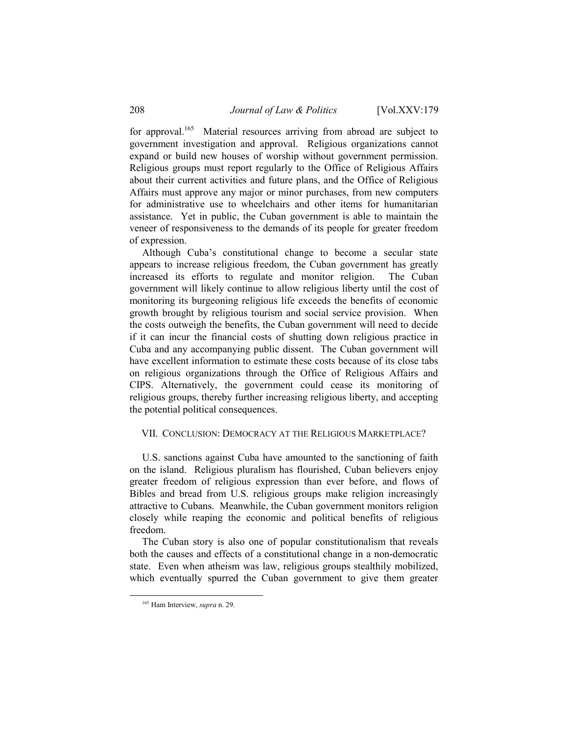for approval.<sup>165</sup> Material resources arriving from abroad are subject to government investigation and approval. Religious organizations cannot expand or build new houses of worship without government permission. Religious groups must report regularly to the Office of Religious Affairs about their current activities and future plans, and the Office of Religious Affairs must approve any major or minor purchases, from new computers for administrative use to wheelchairs and other items for humanitarian assistance. Yet in public, the Cuban government is able to maintain the veneer of responsiveness to the demands of its people for greater freedom of expression.

Although Cuba's constitutional change to become a secular state appears to increase religious freedom, the Cuban government has greatly increased its efforts to regulate and monitor religion. The Cuban government will likely continue to allow religious liberty until the cost of monitoring its burgeoning religious life exceeds the benefits of economic growth brought by religious tourism and social service provision. When the costs outweigh the benefits, the Cuban government will need to decide if it can incur the financial costs of shutting down religious practice in Cuba and any accompanying public dissent. The Cuban government will have excellent information to estimate these costs because of its close tabs on religious organizations through the Office of Religious Affairs and CIPS. Alternatively, the government could cease its monitoring of religious groups, thereby further increasing religious liberty, and accepting the potential political consequences.

# VII. CONCLUSION: DEMOCRACY AT THE RELIGIOUS MARKETPLACE?

U.S. sanctions against Cuba have amounted to the sanctioning of faith on the island. Religious pluralism has flourished, Cuban believers enjoy greater freedom of religious expression than ever before, and flows of Bibles and bread from U.S. religious groups make religion increasingly attractive to Cubans. Meanwhile, the Cuban government monitors religion closely while reaping the economic and political benefits of religious freedom.

The Cuban story is also one of popular constitutionalism that reveals both the causes and effects of a constitutional change in a non-democratic state. Even when atheism was law, religious groups stealthily mobilized, which eventually spurred the Cuban government to give them greater

l

<sup>&</sup>lt;sup>165</sup> Ham Interview, *supra* n. 29.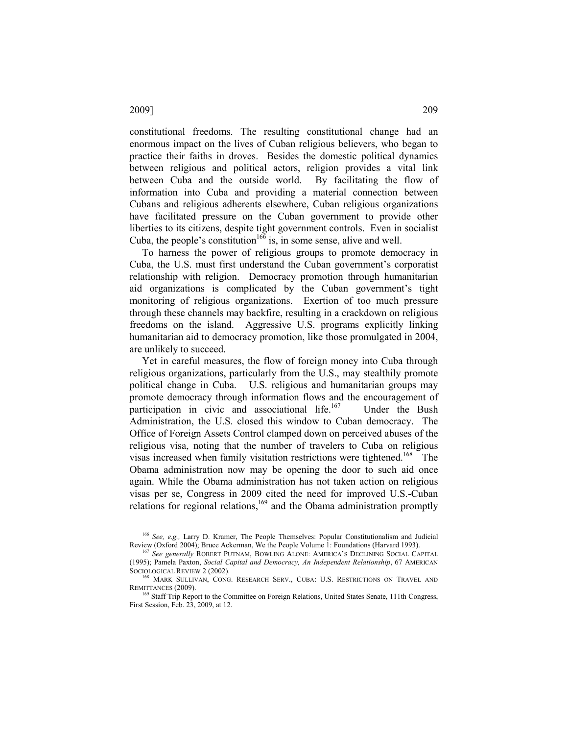constitutional freedoms. The resulting constitutional change had an enormous impact on the lives of Cuban religious believers, who began to practice their faiths in droves. Besides the domestic political dynamics between religious and political actors, religion provides a vital link between Cuba and the outside world. By facilitating the flow of information into Cuba and providing a material connection between Cubans and religious adherents elsewhere, Cuban religious organizations have facilitated pressure on the Cuban government to provide other liberties to its citizens, despite tight government controls. Even in socialist Cuba, the people's constitution<sup>166</sup> is, in some sense, alive and well.

To harness the power of religious groups to promote democracy in Cuba, the U.S. must first understand the Cuban government's corporatist relationship with religion. Democracy promotion through humanitarian aid organizations is complicated by the Cuban government's tight monitoring of religious organizations. Exertion of too much pressure through these channels may backfire, resulting in a crackdown on religious freedoms on the island. Aggressive U.S. programs explicitly linking humanitarian aid to democracy promotion, like those promulgated in 2004, are unlikely to succeed.

Yet in careful measures, the flow of foreign money into Cuba through religious organizations, particularly from the U.S., may stealthily promote political change in Cuba. U.S. religious and humanitarian groups may promote democracy through information flows and the encouragement of participation in civic and associational life.<sup>167</sup> Under the Bush Administration, the U.S. closed this window to Cuban democracy. The Office of Foreign Assets Control clamped down on perceived abuses of the religious visa, noting that the number of travelers to Cuba on religious visas increased when family visitation restrictions were tightened.<sup>168</sup> The Obama administration now may be opening the door to such aid once again. While the Obama administration has not taken action on religious visas per se, Congress in 2009 cited the need for improved U.S.-Cuban relations for regional relations,<sup>169</sup> and the Obama administration promptly

# 2009] 209

<sup>&</sup>lt;sup>166</sup> See, e.g., Larry D. Kramer, The People Themselves: Popular Constitutionalism and Judicial Review (Oxford 2004); Bruce Ackerman, We the People Volume 1: Foundations (Harvard 1993).

<sup>&</sup>lt;sup>167</sup> See generally ROBERT PUTNAM, BOWLING ALONE: AMERICA'S DECLINING SOCIAL CAPITAL (1995); Pamela Paxton, Social Capital and Democracy, An Independent Relationship, 67 AMERICAN SOCIOLOGICAL REVIEW 2 (2002).

<sup>&</sup>lt;sup>8</sup> MARK SULLIVAN, CONG. RESEARCH SERV., CUBA: U.S. RESTRICTIONS ON TRAVEL AND REMITTANCES (2009).

<sup>&</sup>lt;sup>169</sup> Staff Trip Report to the Committee on Foreign Relations, United States Senate, 111th Congress, First Session, Feb. 23, 2009, at 12.